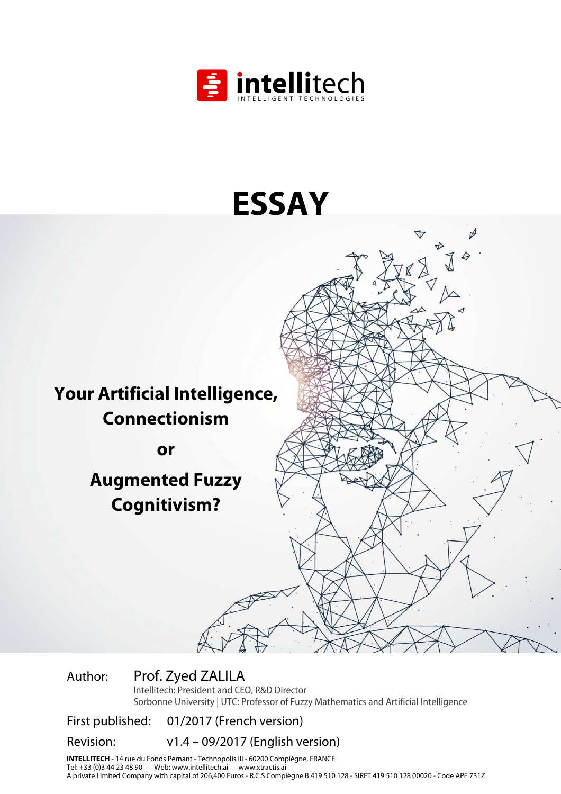

# **ESSAY**

**Your Artificial Intelligence, Connectionism** 

**or** 

**Augmented Fuzzy Cognitivism?** 

Author: Prof. Zyed ZALILA

Intellitech: President and CEO, R&D Director Sorbonne University | UTC: Professor of Fuzzy Mathematics and Artificial Intelligence

First published: 01/2017 (French version)

Revision: v1.4 – 09/2017 (English version)

**INTELLITECH** - 14 rue du Fonds Pernant - Technopolis III - 60200 Compiègne, FRANCE Tel: +33 (0)3 44 23 48 90 – Web: www.intellitech.ai – www.xtractis.ai A private Limited Company with capital of 206,400 Euros - R.C.S Compiègne B 419 510 128 - SIRET 419 510 128 00020 - Code APE 731Z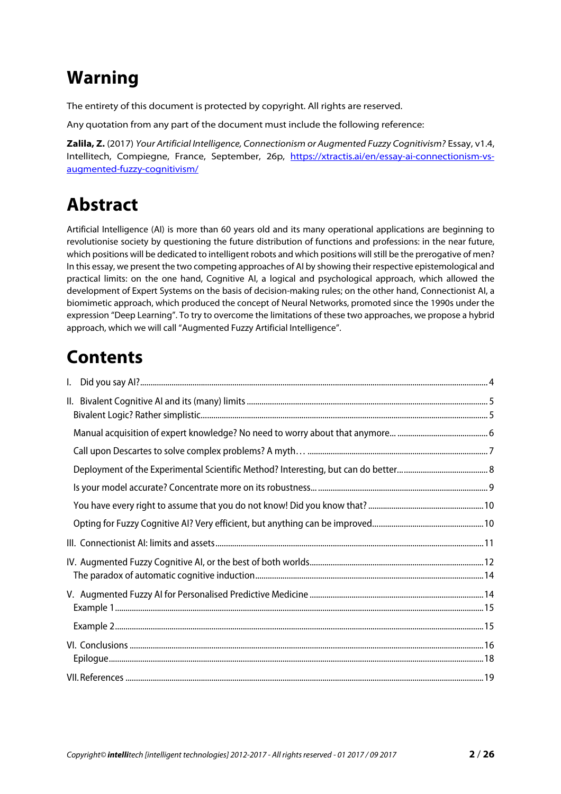# **Warning**

The entirety of this document is protected by copyright. All rights are reserved.

Any quotation from any part of the document must include the following reference:

**Zalila, Z.** (2017) Your Artificial Intelligence, Connectionism or Augmented Fuzzy Cognitivism? Essay, v1.4, Intellitech, Compiegne, France, September, 26p, https://xtractis.ai/en/essay-ai-connectionism-vsaugmented-fuzzy-cognitivism/

# **Abstract**

Artificial Intelligence (AI) is more than 60 years old and its many operational applications are beginning to revolutionise society by questioning the future distribution of functions and professions: in the near future, which positions will be dedicated to intelligent robots and which positions will still be the prerogative of men? In this essay, we present the two competing approaches of AI by showing their respective epistemological and practical limits: on the one hand, Cognitive AI, a logical and psychological approach, which allowed the development of Expert Systems on the basis of decision-making rules; on the other hand, Connectionist AI, a biomimetic approach, which produced the concept of Neural Networks, promoted since the 1990s under the expression "Deep Learning". To try to overcome the limitations of these two approaches, we propose a hybrid approach, which we will call "Augmented Fuzzy Artificial Intelligence".

# **Contents**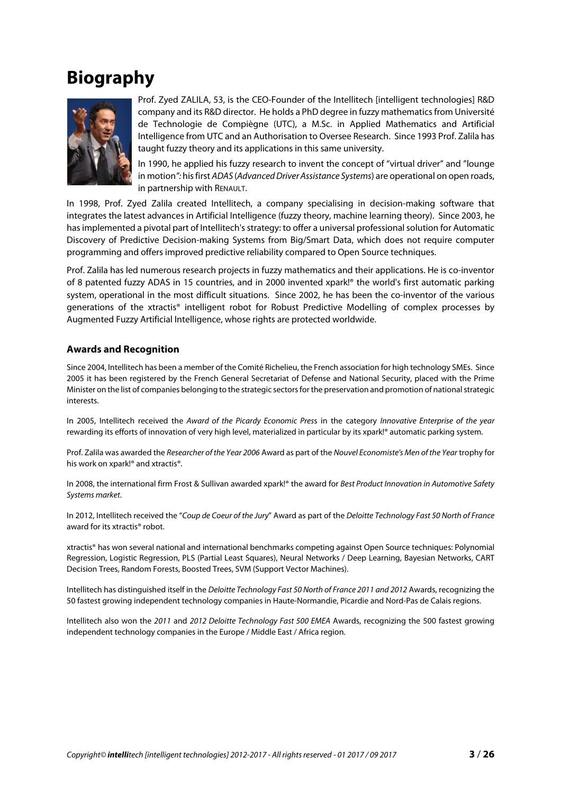# **Biography**



Prof. Zyed ZALILA, 53, is the CEO-Founder of the Intellitech [intelligent technologies] R&D company and its R&D director. He holds a PhD degree in fuzzy mathematics from Université de Technologie de Compiègne (UTC), a M.Sc. in Applied Mathematics and Artificial Intelligence from UTC and an Authorisation to Oversee Research. Since 1993 Prof. Zalila has taught fuzzy theory and its applications in this same university.

In 1990, he applied his fuzzy research to invent the concept of "virtual driver" and "lounge in motion": his first ADAS (Advanced Driver Assistance Systems) are operational on open roads, in partnership with RENAULT.

In 1998, Prof. Zyed Zalila created Intellitech, a company specialising in decision-making software that integrates the latest advances in Artificial Intelligence (fuzzy theory, machine learning theory). Since 2003, he has implemented a pivotal part of Intellitech's strategy: to offer a universal professional solution for Automatic Discovery of Predictive Decision-making Systems from Big/Smart Data, which does not require computer programming and offers improved predictive reliability compared to Open Source techniques.

Prof. Zalila has led numerous research projects in fuzzy mathematics and their applications. He is co-inventor of 8 patented fuzzy ADAS in 15 countries, and in 2000 invented xpark!® the world's first automatic parking system, operational in the most difficult situations. Since 2002, he has been the co-inventor of the various generations of the xtractis® intelligent robot for Robust Predictive Modelling of complex processes by Augmented Fuzzy Artificial Intelligence, whose rights are protected worldwide.

#### **Awards and Recognition**

Since 2004, Intellitech has been a member of the Comité Richelieu, the French association for high technology SMEs. Since 2005 it has been registered by the French General Secretariat of Defense and National Security, placed with the Prime Minister on the list of companies belonging to the strategic sectors for the preservation and promotion of national strategic interests.

In 2005, Intellitech received the Award of the Picardy Economic Press in the category Innovative Enterprise of the year rewarding its efforts of innovation of very high level, materialized in particular by its xpark!® automatic parking system.

Prof. Zalila was awarded the Researcher of the Year 2006 Award as part of the Nouvel Economiste's Men of the Year trophy for his work on xpark!® and xtractis®.

In 2008, the international firm Frost & Sullivan awarded xpark!® the award for Best Product Innovation in Automotive Safety Systems market.

In 2012, Intellitech received the "Coup de Coeur of the Jury" Award as part of the Deloitte Technology Fast 50 North of France award for its xtractis® robot.

xtractis® has won several national and international benchmarks competing against Open Source techniques: Polynomial Regression, Logistic Regression, PLS (Partial Least Squares), Neural Networks / Deep Learning, Bayesian Networks, CART Decision Trees, Random Forests, Boosted Trees, SVM (Support Vector Machines).

Intellitech has distinguished itself in the Deloitte Technology Fast 50 North of France 2011 and 2012 Awards, recognizing the 50 fastest growing independent technology companies in Haute-Normandie, Picardie and Nord-Pas de Calais regions.

Intellitech also won the 2011 and 2012 Deloitte Technology Fast 500 EMEA Awards, recognizing the 500 fastest growing independent technology companies in the Europe / Middle East / Africa region.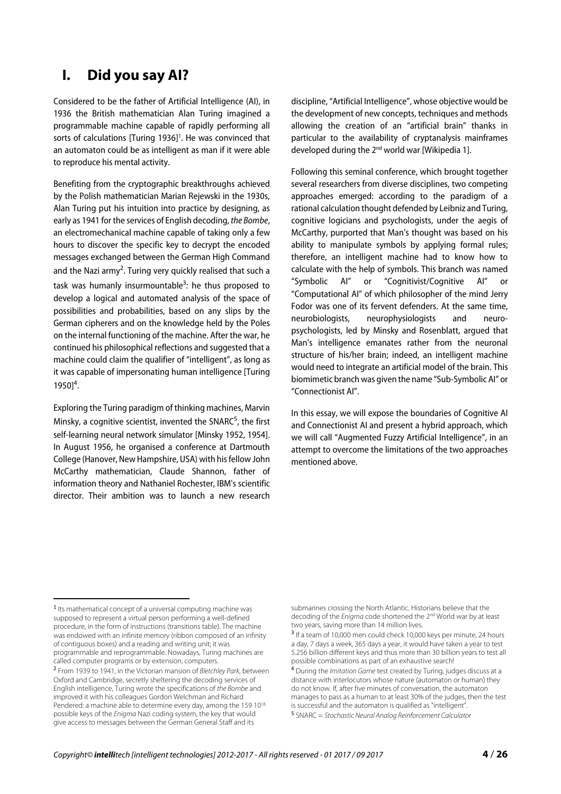### **I. Did you say AI?**

Considered to be the father of Artificial Intelligence (AI), in 1936 the British mathematician Alan Turing imagined a programmable machine capable of rapidly performing all sorts of calculations [Turing 1936]<sup>1</sup>. He was convinced that an automaton could be as intelligent as man if it were able to reproduce his mental activity.

Benefiting from the cryptographic breakthroughs achieved by the Polish mathematician Marian Rejewski in the 1930s, Alan Turing put his intuition into practice by designing, as early as 1941 for the services of English decoding, the Bombe, an electromechanical machine capable of taking only a few hours to discover the specific key to decrypt the encoded messages exchanged between the German High Command and the Nazi army<sup>2</sup>. Turing very quickly realised that such a task was humanly insurmountable<sup>3</sup>: he thus proposed to develop a logical and automated analysis of the space of possibilities and probabilities, based on any slips by the German cipherers and on the knowledge held by the Poles on the internal functioning of the machine. After the war, he continued his philosophical reflections and suggested that a machine could claim the qualifier of "intelligent", as long as it was capable of impersonating human intelligence [Turing  $1950]^4$ .

Exploring the Turing paradigm of thinking machines, Marvin Minsky, a cognitive scientist, invented the SNARC<sup>5</sup>, the first self-learning neural network simulator [Minsky 1952, 1954]. In August 1956, he organised a conference at Dartmouth College (Hanover, New Hampshire, USA) with his fellow John McCarthy mathematician, Claude Shannon, father of information theory and Nathaniel Rochester, IBM's scientific director. Their ambition was to launch a new research

discipline, "Artificial Intelligence", whose objective would be the development of new concepts, techniques and methods allowing the creation of an "artificial brain" thanks in particular to the availability of cryptanalysis mainframes developed during the 2<sup>nd</sup> world war [Wikipedia 1].

Following this seminal conference, which brought together several researchers from diverse disciplines, two competing approaches emerged: according to the paradigm of a rational calculation thought defended by Leibniz and Turing, cognitive logicians and psychologists, under the aegis of McCarthy, purported that Man's thought was based on his ability to manipulate symbols by applying formal rules; therefore, an intelligent machine had to know how to calculate with the help of symbols. This branch was named "Symbolic AI" or "Cognitivist/Cognitive AI" or "Computational AI" of which philosopher of the mind Jerry Fodor was one of its fervent defenders. At the same time, neurobiologists, neurophysiologists and neuropsychologists, led by Minsky and Rosenblatt, argued that Man's intelligence emanates rather from the neuronal structure of his/her brain; indeed, an intelligent machine would need to integrate an artificial model of the brain. This biomimetic branch was given the name "Sub-Symbolic AI" or "Connectionist AI".

In this essay, we will expose the boundaries of Cognitive AI and Connectionist AI and present a hybrid approach, which we will call "Augmented Fuzzy Artificial Intelligence", in an attempt to overcome the limitations of the two approaches mentioned above.

 $\overline{a}$ 

<sup>1</sup> Its mathematical concept of a universal computing machine was supposed to represent a virtual person performing a well-defined procedure, in the form of instructions (transitions table). The machine was endowed with an infinite memory (ribbon composed of an infinity of contiguous boxes) and a reading and writing unit; it was programmable and reprogrammable. Nowadays, Turing machines are called computer programs or by extension, computers.

<sup>2</sup> From 1939 to 1941, in the Victorian mansion of Bletchley Park, between Oxford and Cambridge, secretly sheltering the decoding services of English intelligence, Turing wrote the specifications of the Bombe and improved it with his colleagues Gordon Welchman and Richard Pendered: a machine able to determine every day, among the 159 10<sup>18</sup> possible keys of the Enigma Nazi coding system, the key that would give access to messages between the German General Staff and its

submarines crossing the North Atlantic. Historians believe that the decoding of the *Enigma* code shortened the 2<sup>nd</sup> World war by at least two years, saving more than 14 million lives.

<sup>3</sup> If a team of 10,000 men could check 10,000 keys per minute, 24 hours a day, 7 days a week, 365 days a year, it would have taken a year to test 5.256 billion different keys and thus more than 30 billion years to test all possible combinations as part of an exhaustive search!

<sup>4</sup> During the Imitation Game test created by Turing, judges discuss at a distance with interlocutors whose nature (automaton or human) they do not know. If, after five minutes of conversation, the automaton manages to pass as a human to at least 30% of the judges, then the test is successful and the automaton is qualified as "intelligent".

<sup>5</sup> SNARC = Stochastic Neural Analog Reinforcement Calculator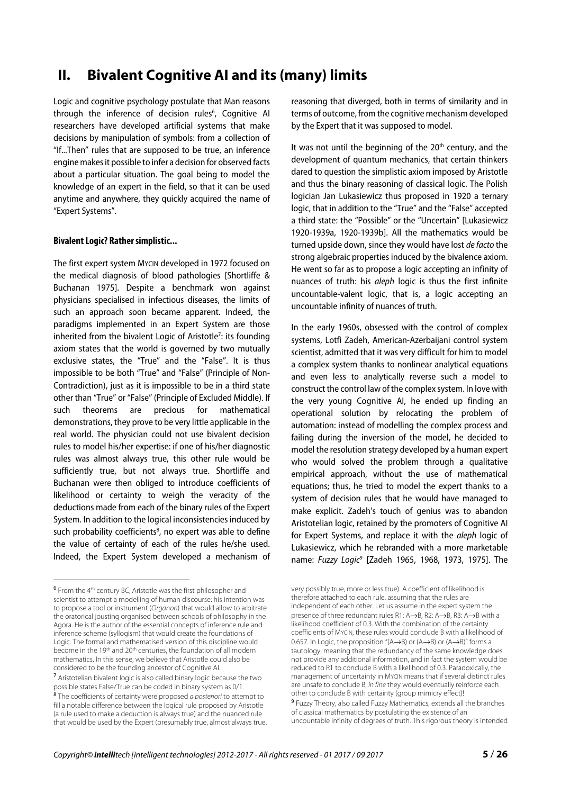## **II. Bivalent Cognitive AI and its (many) limits**

Logic and cognitive psychology postulate that Man reasons through the inference of decision rules<sup>6</sup>, Cognitive Al researchers have developed artificial systems that make decisions by manipulation of symbols: from a collection of "If...Then" rules that are supposed to be true, an inference engine makes it possible to infer a decision for observed facts about a particular situation. The goal being to model the knowledge of an expert in the field, so that it can be used anytime and anywhere, they quickly acquired the name of "Expert Systems".

#### **Bivalent Logic? Rather simplistic...**

The first expert system MYCIN developed in 1972 focused on the medical diagnosis of blood pathologies [Shortliffe & Buchanan 1975]. Despite a benchmark won against physicians specialised in infectious diseases, the limits of such an approach soon became apparent. Indeed, the paradigms implemented in an Expert System are those inherited from the bivalent Logic of Aristotle<sup>7</sup>: its founding axiom states that the world is governed by two mutually exclusive states, the "True" and the "False". It is thus impossible to be both "True" and "False" (Principle of Non-Contradiction), just as it is impossible to be in a third state other than "True" or "False" (Principle of Excluded Middle). If such theorems are precious for mathematical demonstrations, they prove to be very little applicable in the real world. The physician could not use bivalent decision rules to model his/her expertise: if one of his/her diagnostic rules was almost always true, this other rule would be sufficiently true, but not always true. Shortliffe and Buchanan were then obliged to introduce coefficients of likelihood or certainty to weigh the veracity of the deductions made from each of the binary rules of the Expert System. In addition to the logical inconsistencies induced by such probability coefficients ${}^{8}$ , no expert was able to define the value of certainty of each of the rules he/she used. Indeed, the Expert System developed a mechanism of

 $\overline{\phantom{a}}$ 

reasoning that diverged, both in terms of similarity and in terms of outcome, from the cognitive mechanism developed by the Expert that it was supposed to model.

It was not until the beginning of the 20<sup>th</sup> century, and the development of quantum mechanics, that certain thinkers dared to question the simplistic axiom imposed by Aristotle and thus the binary reasoning of classical logic. The Polish logician Jan Lukasiewicz thus proposed in 1920 a ternary logic, that in addition to the "True" and the "False" accepted a third state: the "Possible" or the "Uncertain" [Lukasiewicz 1920-1939a, 1920-1939b]. All the mathematics would be turned upside down, since they would have lost de facto the strong algebraic properties induced by the bivalence axiom. He went so far as to propose a logic accepting an infinity of nuances of truth: his aleph logic is thus the first infinite uncountable-valent logic, that is, a logic accepting an uncountable infinity of nuances of truth.

In the early 1960s, obsessed with the control of complex systems, Lotfi Zadeh, American-Azerbaijani control system scientist, admitted that it was very difficult for him to model a complex system thanks to nonlinear analytical equations and even less to analytically reverse such a model to construct the control law of the complex system. In love with the very young Cognitive AI, he ended up finding an operational solution by relocating the problem of automation: instead of modelling the complex process and failing during the inversion of the model, he decided to model the resolution strategy developed by a human expert who would solved the problem through a qualitative empirical approach, without the use of mathematical equations; thus, he tried to model the expert thanks to a system of decision rules that he would have managed to make explicit. Zadeh's touch of genius was to abandon Aristotelian logic, retained by the promoters of Cognitive AI for Expert Systems, and replace it with the *aleph* logic of Lukasiewicz, which he rebranded with a more marketable name: Fuzzy Logic<sup>9</sup> [Zadeh 1965, 1968, 1973, 1975]. The

very possibly true, more or less true). A coefficient of likelihood is therefore attached to each rule, assuming that the rules are independent of each other. Let us assume in the expert system the presence of three redundant rules R1: A→B, R2: A→B, R3: A→B with a likelihood coefficient of 0.3. With the combination of the certainty coefficients of MYCIN, these rules would conclude B with a likelihood of 0.657. In Logic, the proposition "(A→B) or (A→B) or (A→B)" forms a tautology, meaning that the redundancy of the same knowledge does not provide any additional information, and in fact the system would be reduced to R1 to conclude B with a likelihood of 0.3. Paradoxically, the management of uncertainty in MYCIN means that if several distinct rules are unsafe to conclude B, in fine they would eventually reinforce each other to conclude B with certainty (group mimicry effect)! <sup>9</sup> Fuzzy Theory, also called Fuzzy Mathematics, extends all the branches of classical mathematics by postulating the existence of an uncountable infinity of degrees of truth. This rigorous theory is intended

 $6$  From the 4<sup>th</sup> century BC, Aristotle was the first philosopher and scientist to attempt a modelling of human discourse: his intention was to propose a tool or instrument (Organon) that would allow to arbitrate the oratorical jousting organised between schools of philosophy in the Agora. He is the author of the essential concepts of inference rule and inference scheme (syllogism) that would create the foundations of Logic. The formal and mathematised version of this discipline would become in the 19<sup>th</sup> and 20<sup>th</sup> centuries, the foundation of all modern mathematics. In this sense, we believe that Aristotle could also be considered to be the founding ancestor of Cognitive AI.

<sup>7</sup> Aristotelian bivalent logic is also called binary logic because the two possible states False/True can be coded in binary system as 0/1. <sup>8</sup> The coefficients of certainty were proposed a posteriori to attempt to fill a notable difference between the logical rule proposed by Aristotle (a rule used to make a deduction is always true) and the nuanced rule that would be used by the Expert (presumably true, almost always true,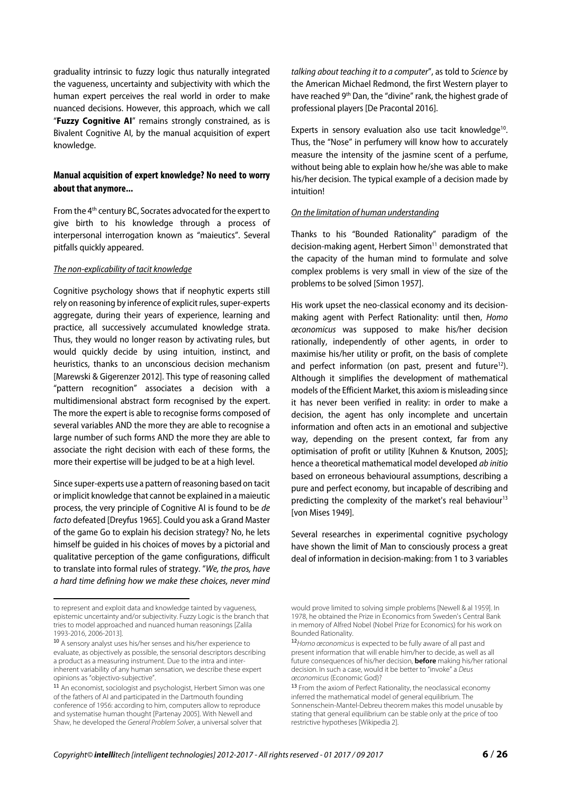graduality intrinsic to fuzzy logic thus naturally integrated the vagueness, uncertainty and subjectivity with which the human expert perceives the real world in order to make nuanced decisions. However, this approach, which we call "**Fuzzy Cognitive AI**" remains strongly constrained, as is Bivalent Cognitive AI, by the manual acquisition of expert knowledge.

#### **Manual acquisition of expert knowledge? No need to worry about that anymore...**

From the 4<sup>th</sup> century BC, Socrates advocated for the expert to give birth to his knowledge through a process of interpersonal interrogation known as "maieutics". Several pitfalls quickly appeared.

#### The non-explicability of tacit knowledge

Cognitive psychology shows that if neophytic experts still rely on reasoning by inference of explicit rules, super-experts aggregate, during their years of experience, learning and practice, all successively accumulated knowledge strata. Thus, they would no longer reason by activating rules, but would quickly decide by using intuition, instinct, and heuristics, thanks to an unconscious decision mechanism [Marewski & Gigerenzer 2012]. This type of reasoning called "pattern recognition" associates a decision with a multidimensional abstract form recognised by the expert. The more the expert is able to recognise forms composed of several variables AND the more they are able to recognise a large number of such forms AND the more they are able to associate the right decision with each of these forms, the more their expertise will be judged to be at a high level.

Since super-experts use a pattern of reasoning based on tacit or implicit knowledge that cannot be explained in a maieutic process, the very principle of Cognitive AI is found to be de facto defeated [Dreyfus 1965]. Could you ask a Grand Master of the game Go to explain his decision strategy? No, he lets himself be guided in his choices of moves by a pictorial and qualitative perception of the game configurations, difficult to translate into formal rules of strategy. "We, the pros, have a hard time defining how we make these choices, never mind

 $\overline{a}$ 

talking about teaching it to a computer", as told to Science by the American Michael Redmond, the first Western player to have reached 9<sup>th</sup> Dan, the "divine" rank, the highest grade of professional players [De Pracontal 2016].

Experts in sensory evaluation also use tacit knowledge<sup>10</sup>. Thus, the "Nose" in perfumery will know how to accurately measure the intensity of the jasmine scent of a perfume, without being able to explain how he/she was able to make his/her decision. The typical example of a decision made by intuition!

#### On the limitation of human understanding

Thanks to his "Bounded Rationality" paradigm of the decision-making agent, Herbert Simon<sup>11</sup> demonstrated that the capacity of the human mind to formulate and solve complex problems is very small in view of the size of the problems to be solved [Simon 1957].

His work upset the neo-classical economy and its decisionmaking agent with Perfect Rationality: until then, Homo œconomicus was supposed to make his/her decision rationally, independently of other agents, in order to maximise his/her utility or profit, on the basis of complete and perfect information (on past, present and future<sup>12</sup>). Although it simplifies the development of mathematical models of the Efficient Market, this axiom is misleading since it has never been verified in reality: in order to make a decision, the agent has only incomplete and uncertain information and often acts in an emotional and subjective way, depending on the present context, far from any optimisation of profit or utility [Kuhnen & Knutson, 2005]; hence a theoretical mathematical model developed ab initio based on erroneous behavioural assumptions, describing a pure and perfect economy, but incapable of describing and predicting the complexity of the market's real behaviour<sup>13</sup> [von Mises 1949].

Several researches in experimental cognitive psychology have shown the limit of Man to consciously process a great deal of information in decision-making: from 1 to 3 variables

to represent and exploit data and knowledge tainted by vagueness, epistemic uncertainty and/or subjectivity. Fuzzy Logic is the branch that tries to model approached and nuanced human reasonings [Zalila 1993-2016, 2006-2013].

<sup>10</sup> A sensory analyst uses his/her senses and his/her experience to evaluate, as objectively as possible, the sensorial descriptors describing a product as a measuring instrument. Due to the intra and interinherent variability of any human sensation, we describe these expert opinions as "objectivo-subjective".

<sup>&</sup>lt;sup>11</sup> An economist, sociologist and psychologist, Herbert Simon was one of the fathers of AI and participated in the Dartmouth founding conference of 1956: according to him, computers allow to reproduce and systematise human thought [Partenay 2005]. With Newell and Shaw, he developed the General Problem Solver, a universal solver that

would prove limited to solving simple problems [Newell & al 1959]. In 1978, he obtained the Prize in Economics from Sweden's Central Bank in memory of Alfred Nobel (Nobel Prize for Economics) for his work on Bounded Rationality.

<sup>12</sup> Homo œconomicus is expected to be fully aware of all past and present information that will enable him/her to decide, as well as all future consequences of his/her decision, **before** making his/her rational decision. In such a case, would it be better to "invoke" a Deus œconomicus (Economic God)?

<sup>13</sup> From the axiom of Perfect Rationality, the neoclassical economy inferred the mathematical model of general equilibrium. The Sonnenschein-Mantel-Debreu theorem makes this model unusable by stating that general equilibrium can be stable only at the price of too restrictive hypotheses [Wikipedia 2].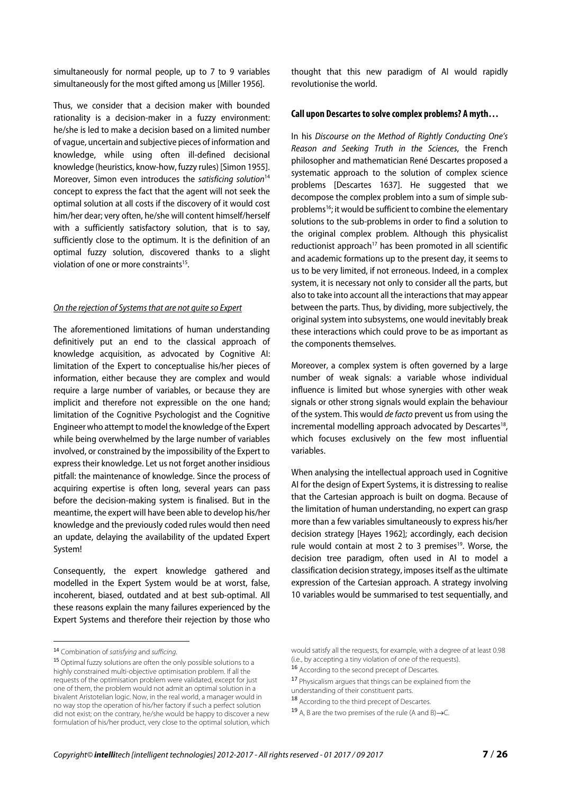simultaneously for normal people, up to 7 to 9 variables simultaneously for the most gifted among us [Miller 1956].

Thus, we consider that a decision maker with bounded rationality is a decision-maker in a fuzzy environment: he/she is led to make a decision based on a limited number of vague, uncertain and subjective pieces of information and knowledge, while using often ill-defined decisional knowledge (heuristics, know-how, fuzzy rules) [Simon 1955]. Moreover, Simon even introduces the satisficing solution<sup>14</sup> concept to express the fact that the agent will not seek the optimal solution at all costs if the discovery of it would cost him/her dear; very often, he/she will content himself/herself with a sufficiently satisfactory solution, that is to say, sufficiently close to the optimum. It is the definition of an optimal fuzzy solution, discovered thanks to a slight violation of one or more constraints<sup>15</sup>.

#### On the rejection of Systems that are not quite so Expert

The aforementioned limitations of human understanding definitively put an end to the classical approach of knowledge acquisition, as advocated by Cognitive AI: limitation of the Expert to conceptualise his/her pieces of information, either because they are complex and would require a large number of variables, or because they are implicit and therefore not expressible on the one hand; limitation of the Cognitive Psychologist and the Cognitive Engineer who attempt to model the knowledge of the Expert while being overwhelmed by the large number of variables involved, or constrained by the impossibility of the Expert to express their knowledge. Let us not forget another insidious pitfall: the maintenance of knowledge. Since the process of acquiring expertise is often long, several years can pass before the decision-making system is finalised. But in the meantime, the expert will have been able to develop his/her knowledge and the previously coded rules would then need an update, delaying the availability of the updated Expert System!

Consequently, the expert knowledge gathered and modelled in the Expert System would be at worst, false, incoherent, biased, outdated and at best sub-optimal. All these reasons explain the many failures experienced by the Expert Systems and therefore their rejection by those who thought that this new paradigm of AI would rapidly revolutionise the world.

#### **Call upon Descartes to solve complex problems? A myth…**

In his Discourse on the Method of Rightly Conducting One's Reason and Seeking Truth in the Sciences, the French philosopher and mathematician René Descartes proposed a systematic approach to the solution of complex science problems [Descartes 1637]. He suggested that we decompose the complex problem into a sum of simple subproblems<sup>16</sup>; it would be sufficient to combine the elementary solutions to the sub-problems in order to find a solution to the original complex problem. Although this physicalist reductionist approach<sup>17</sup> has been promoted in all scientific and academic formations up to the present day, it seems to us to be very limited, if not erroneous. Indeed, in a complex system, it is necessary not only to consider all the parts, but also to take into account all the interactions that may appear between the parts. Thus, by dividing, more subjectively, the original system into subsystems, one would inevitably break these interactions which could prove to be as important as the components themselves.

Moreover, a complex system is often governed by a large number of weak signals: a variable whose individual influence is limited but whose synergies with other weak signals or other strong signals would explain the behaviour of the system. This would de facto prevent us from using the incremental modelling approach advocated by Descartes<sup>18</sup>, which focuses exclusively on the few most influential variables.

When analysing the intellectual approach used in Cognitive AI for the design of Expert Systems, it is distressing to realise that the Cartesian approach is built on dogma. Because of the limitation of human understanding, no expert can grasp more than a few variables simultaneously to express his/her decision strategy [Hayes 1962]; accordingly, each decision rule would contain at most 2 to 3 premises<sup>19</sup>. Worse, the decision tree paradigm, often used in AI to model a classification decision strategy, imposes itself as the ultimate expression of the Cartesian approach. A strategy involving 10 variables would be summarised to test sequentially, and

 $\overline{a}$ 

<sup>14</sup> Combination of satisfying and sufficing.

<sup>15</sup> Optimal fuzzy solutions are often the only possible solutions to a highly constrained multi-objective optimisation problem. If all the requests of the optimisation problem were validated, except for just one of them, the problem would not admit an optimal solution in a bivalent Aristotelian logic. Now, in the real world, a manager would in no way stop the operation of his/her factory if such a perfect solution did not exist; on the contrary, he/she would be happy to discover a new formulation of his/her product, very close to the optimal solution, which

would satisfy all the requests, for example, with a degree of at least 0.98 (i.e., by accepting a tiny violation of one of the requests).

<sup>16</sup> According to the second precept of Descartes.

<sup>17</sup> Physicalism argues that things can be explained from the understanding of their constituent parts.

<sup>18</sup> According to the third precept of Descartes.

<sup>19</sup> A, B are the two premises of the rule (A and B) $\rightarrow$ C.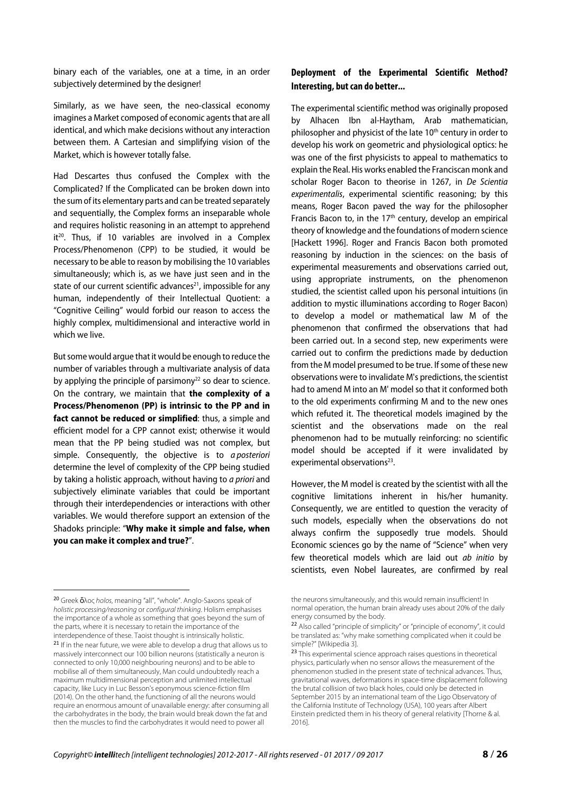binary each of the variables, one at a time, in an order subjectively determined by the designer!

Similarly, as we have seen, the neo-classical economy imagines a Market composed of economic agents that are all identical, and which make decisions without any interaction between them. A Cartesian and simplifying vision of the Market, which is however totally false.

Had Descartes thus confused the Complex with the Complicated? If the Complicated can be broken down into the sum of its elementary parts and can be treated separately and sequentially, the Complex forms an inseparable whole and requires holistic reasoning in an attempt to apprehend  $it^{20}$ . Thus, if 10 variables are involved in a Complex Process/Phenomenon (CPP) to be studied, it would be necessary to be able to reason by mobilising the 10 variables simultaneously; which is, as we have just seen and in the state of our current scientific advances<sup>21</sup>, impossible for any human, independently of their Intellectual Quotient: a "Cognitive Ceiling" would forbid our reason to access the highly complex, multidimensional and interactive world in which we live.

But some would argue that it would be enough to reduce the number of variables through a multivariate analysis of data by applying the principle of parsimony<sup>22</sup> so dear to science. On the contrary, we maintain that **the complexity of a Process/Phenomenon (PP) is intrinsic to the PP and in fact cannot be reduced or simplified**: thus, a simple and efficient model for a CPP cannot exist; otherwise it would mean that the PP being studied was not complex, but simple. Consequently, the objective is to a posteriori determine the level of complexity of the CPP being studied by taking a holistic approach, without having to a priori and subjectively eliminate variables that could be important through their interdependencies or interactions with other variables. We would therefore support an extension of the Shadoks principle: "**Why make it simple and false, when you can make it complex and true?**".

 $\overline{a}$ 

#### **Deployment of the Experimental Scientific Method? Interesting, but can do better...**

The experimental scientific method was originally proposed by Alhacen Ibn al-Haytham, Arab mathematician, philosopher and physicist of the late 10<sup>th</sup> century in order to develop his work on geometric and physiological optics: he was one of the first physicists to appeal to mathematics to explain the Real. His works enabled the Franciscan monk and scholar Roger Bacon to theorise in 1267, in De Scientia experimentalis, experimental scientific reasoning; by this means, Roger Bacon paved the way for the philosopher Francis Bacon to, in the  $17<sup>th</sup>$  century, develop an empirical theory of knowledge and the foundations of modern science [Hackett 1996]. Roger and Francis Bacon both promoted reasoning by induction in the sciences: on the basis of experimental measurements and observations carried out, using appropriate instruments, on the phenomenon studied, the scientist called upon his personal intuitions (in addition to mystic illuminations according to Roger Bacon) to develop a model or mathematical law M of the phenomenon that confirmed the observations that had been carried out. In a second step, new experiments were carried out to confirm the predictions made by deduction from the M model presumed to be true. If some of these new observations were to invalidate M's predictions, the scientist had to amend M into an M' model so that it conformed both to the old experiments confirming M and to the new ones which refuted it. The theoretical models imagined by the scientist and the observations made on the real phenomenon had to be mutually reinforcing: no scientific model should be accepted if it were invalidated by experimental observations<sup>23</sup>.

However, the M model is created by the scientist with all the cognitive limitations inherent in his/her humanity. Consequently, we are entitled to question the veracity of such models, especially when the observations do not always confirm the supposedly true models. Should Economic sciences go by the name of "Science" when very few theoretical models which are laid out *ab initio* by scientists, even Nobel laureates, are confirmed by real

<sup>20</sup> Greek ὅλος holos, meaning "all", "whole". Anglo-Saxons speak of holistic processing/reasoning or configural thinking. Holism emphasises the importance of a whole as something that goes beyond the sum of the parts, where it is necessary to retain the importance of the interdependence of these. Taoist thought is intrinsically holistic.

<sup>&</sup>lt;sup>21</sup> If in the near future, we were able to develop a drug that allows us to massively interconnect our 100 billion neurons (statistically a neuron is connected to only 10,000 neighbouring neurons) and to be able to mobilise all of them simultaneously, Man could undoubtedly reach a maximum multidimensional perception and unlimited intellectual capacity, like Lucy in Luc Besson's eponymous science-fiction film (2014). On the other hand, the functioning of all the neurons would require an enormous amount of unavailable energy: after consuming all the carbohydrates in the body, the brain would break down the fat and then the muscles to find the carbohydrates it would need to power all

the neurons simultaneously, and this would remain insufficient! In normal operation, the human brain already uses about 20% of the daily energy consumed by the body.

<sup>22</sup> Also called "principle of simplicity" or "principle of economy", it could be translated as: "why make something complicated when it could be simple?" [Wikipedia 3].

<sup>23</sup> This experimental science approach raises questions in theoretical physics, particularly when no sensor allows the measurement of the phenomenon studied in the present state of technical advances. Thus, gravitational waves, deformations in space-time displacement following the brutal collision of two black holes, could only be detected in September 2015 by an international team of the Ligo Observatory of the California Institute of Technology (USA), 100 years after Albert Einstein predicted them in his theory of general relativity [Thorne & al. 2016].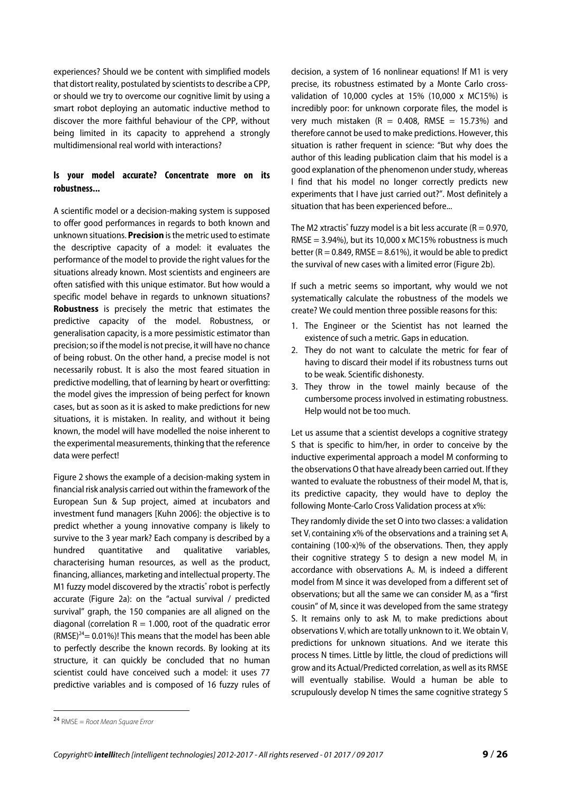experiences? Should we be content with simplified models that distort reality, postulated by scientists to describe a CPP, or should we try to overcome our cognitive limit by using a smart robot deploying an automatic inductive method to discover the more faithful behaviour of the CPP, without being limited in its capacity to apprehend a strongly multidimensional real world with interactions?

#### **Is your model accurate? Concentrate more on its robustness...**

A scientific model or a decision-making system is supposed to offer good performances in regards to both known and unknown situations. **Precision** is the metric used to estimate the descriptive capacity of a model: it evaluates the performance of the model to provide the right values for the situations already known. Most scientists and engineers are often satisfied with this unique estimator. But how would a specific model behave in regards to unknown situations? **Robustness** is precisely the metric that estimates the predictive capacity of the model. Robustness, or generalisation capacity, is a more pessimistic estimator than precision; so if the model is not precise, it will have no chance of being robust. On the other hand, a precise model is not necessarily robust. It is also the most feared situation in predictive modelling, that of learning by heart or overfitting: the model gives the impression of being perfect for known cases, but as soon as it is asked to make predictions for new situations, it is mistaken. In reality, and without it being known, the model will have modelled the noise inherent to the experimental measurements, thinking that the reference data were perfect!

Figure 2 shows the example of a decision-making system in financial risk analysis carried out within the framework of the European Sun & Sup project, aimed at incubators and investment fund managers [Kuhn 2006]: the objective is to predict whether a young innovative company is likely to survive to the 3 year mark? Each company is described by a hundred quantitative and qualitative variables, characterising human resources, as well as the product, financing, alliances, marketing and intellectual property. The M1 fuzzy model discovered by the xtractis® robot is perfectly accurate (Figure 2a): on the "actual survival / predicted survival" graph, the 150 companies are all aligned on the diagonal (correlation  $R = 1.000$ , root of the quadratic error  $(RMSE)^{24}$  = 0.01%)! This means that the model has been able to perfectly describe the known records. By looking at its structure, it can quickly be concluded that no human scientist could have conceived such a model: it uses 77 predictive variables and is composed of 16 fuzzy rules of

decision, a system of 16 nonlinear equations! If M1 is very precise, its robustness estimated by a Monte Carlo crossvalidation of 10,000 cycles at 15% (10,000 x MC15%) is incredibly poor: for unknown corporate files, the model is very much mistaken  $(R = 0.408, RMSE = 15.73%)$  and therefore cannot be used to make predictions. However, this situation is rather frequent in science: "But why does the author of this leading publication claim that his model is a good explanation of the phenomenon under study, whereas I find that his model no longer correctly predicts new experiments that I have just carried out?". Most definitely a situation that has been experienced before...

The M2 xtractis $\degree$  fuzzy model is a bit less accurate (R = 0.970, RMSE =  $3.94\%$ ), but its 10,000 x MC15% robustness is much better ( $R = 0.849$ , RMSE = 8.61%), it would be able to predict the survival of new cases with a limited error (Figure 2b).

If such a metric seems so important, why would we not systematically calculate the robustness of the models we create? We could mention three possible reasons for this:

- 1. The Engineer or the Scientist has not learned the existence of such a metric. Gaps in education.
- 2. They do not want to calculate the metric for fear of having to discard their model if its robustness turns out to be weak. Scientific dishonesty.
- 3. They throw in the towel mainly because of the cumbersome process involved in estimating robustness. Help would not be too much.

Let us assume that a scientist develops a cognitive strategy S that is specific to him/her, in order to conceive by the inductive experimental approach a model M conforming to the observations O that have already been carried out. If they wanted to evaluate the robustness of their model M, that is, its predictive capacity, they would have to deploy the following Monte-Carlo Cross Validation process at x%:

They randomly divide the set O into two classes: a validation set  $V_i$  containing x% of the observations and a training set  $A_i$ containing (100-x)% of the observations. Then, they apply their cognitive strategy S to design a new model  $M<sub>i</sub>$  in accordance with observations  $A_i$ .  $M_i$  is indeed a different model from M since it was developed from a different set of observations; but all the same we can consider  $M_i$  as a "first cousin" of M, since it was developed from the same strategy S. It remains only to ask  $M<sub>i</sub>$  to make predictions about observations  $V_i$  which are totally unknown to it. We obtain  $V_i$ predictions for unknown situations. And we iterate this process N times. Little by little, the cloud of predictions will grow and its Actual/Predicted correlation, as well as its RMSE will eventually stabilise. Would a human be able to scrupulously develop N times the same cognitive strategy S

 $\overline{\phantom{a}}$ 

 $24$  RMSE = Root Mean Square Error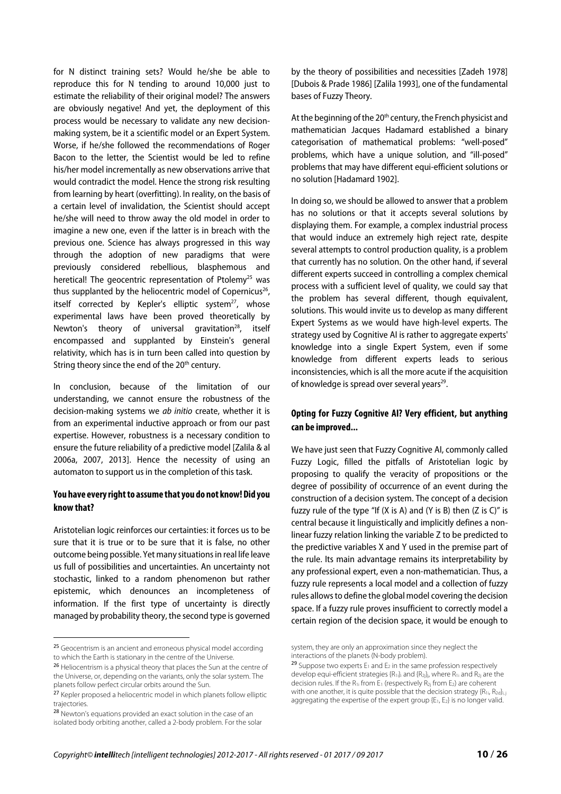for N distinct training sets? Would he/she be able to reproduce this for N tending to around 10,000 just to estimate the reliability of their original model? The answers are obviously negative! And yet, the deployment of this process would be necessary to validate any new decisionmaking system, be it a scientific model or an Expert System. Worse, if he/she followed the recommendations of Roger Bacon to the letter, the Scientist would be led to refine his/her model incrementally as new observations arrive that would contradict the model. Hence the strong risk resulting from learning by heart (overfitting). In reality, on the basis of a certain level of invalidation, the Scientist should accept he/she will need to throw away the old model in order to imagine a new one, even if the latter is in breach with the previous one. Science has always progressed in this way through the adoption of new paradigms that were previously considered rebellious, blasphemous and heretical! The geocentric representation of Ptolemy<sup>25</sup> was thus supplanted by the heliocentric model of Copernicus<sup>26</sup>, itself corrected by Kepler's elliptic system $^{27}$ , whose experimental laws have been proved theoretically by Newton's theory of universal gravitation $28$ , itself encompassed and supplanted by Einstein's general relativity, which has is in turn been called into question by String theory since the end of the 20<sup>th</sup> century.

In conclusion, because of the limitation of our understanding, we cannot ensure the robustness of the decision-making systems we ab initio create, whether it is from an experimental inductive approach or from our past expertise. However, robustness is a necessary condition to ensure the future reliability of a predictive model [Zalila & al 2006a, 2007, 2013]. Hence the necessity of using an automaton to support us in the completion of this task.

#### **You have every right to assume that you do not know! Did you know that?**

Aristotelian logic reinforces our certainties: it forces us to be sure that it is true or to be sure that it is false, no other outcome being possible. Yet many situations in real life leave us full of possibilities and uncertainties. An uncertainty not stochastic, linked to a random phenomenon but rather epistemic, which denounces an incompleteness of information. If the first type of uncertainty is directly managed by probability theory, the second type is governed

 $\overline{\phantom{a}}$ 

by the theory of possibilities and necessities [Zadeh 1978] [Dubois & Prade 1986] [Zalila 1993], one of the fundamental bases of Fuzzy Theory.

At the beginning of the 20<sup>th</sup> century, the French physicist and mathematician Jacques Hadamard established a binary categorisation of mathematical problems: "well-posed" problems, which have a unique solution, and "ill-posed" problems that may have different equi-efficient solutions or no solution [Hadamard 1902].

In doing so, we should be allowed to answer that a problem has no solutions or that it accepts several solutions by displaying them. For example, a complex industrial process that would induce an extremely high reject rate, despite several attempts to control production quality, is a problem that currently has no solution. On the other hand, if several different experts succeed in controlling a complex chemical process with a sufficient level of quality, we could say that the problem has several different, though equivalent, solutions. This would invite us to develop as many different Expert Systems as we would have high-level experts. The strategy used by Cognitive AI is rather to aggregate experts' knowledge into a single Expert System, even if some knowledge from different experts leads to serious inconsistencies, which is all the more acute if the acquisition of knowledge is spread over several years<sup>29</sup>.

#### **Opting for Fuzzy Cognitive AI? Very efficient, but anything can be improved...**

We have just seen that Fuzzy Cognitive AI, commonly called Fuzzy Logic, filled the pitfalls of Aristotelian logic by proposing to qualify the veracity of propositions or the degree of possibility of occurrence of an event during the construction of a decision system. The concept of a decision fuzzy rule of the type "If  $(X \text{ is A})$  and  $(Y \text{ is B})$  then  $(Z \text{ is C})$ " is central because it linguistically and implicitly defines a nonlinear fuzzy relation linking the variable Z to be predicted to the predictive variables X and Y used in the premise part of the rule. Its main advantage remains its interpretability by any professional expert, even a non-mathematician. Thus, a fuzzy rule represents a local model and a collection of fuzzy rules allows to define the global model covering the decision space. If a fuzzy rule proves insufficient to correctly model a certain region of the decision space, it would be enough to

<sup>&</sup>lt;sup>25</sup> Geocentrism is an ancient and erroneous physical model according to which the Earth is stationary in the centre of the Universe.

<sup>&</sup>lt;sup>26</sup> Heliocentrism is a physical theory that places the Sun at the centre of the Universe, or, depending on the variants, only the solar system. The planets follow perfect circular orbits around the Sun.

<sup>&</sup>lt;sup>27</sup> Kepler proposed a heliocentric model in which planets follow elliptic trajectories.

<sup>28</sup> Newton's equations provided an exact solution in the case of an isolated body orbiting another, called a 2-body problem. For the solar

system, they are only an approximation since they neglect the interactions of the planets (N-body problem).

<sup>&</sup>lt;sup>29</sup> Suppose two experts  $E_1$  and  $E_2$  in the same profession respectively develop equi-efficient strategies  $\{R_{1i}\}$  and  $\{R_{2j}\}$ , where  $R_{1i}$  and  $R_{2j}$  are the decision rules. If the  $R_{1i}$  from  $E_1$  (respectively  $R_{2i}$  from  $E_2$ ) are coherent with one another, it is quite possible that the decision strategy  ${R_{1i}R_{2d}}_{i,j}$ aggregating the expertise of the expert group  ${E_1, E_2}$  is no longer valid.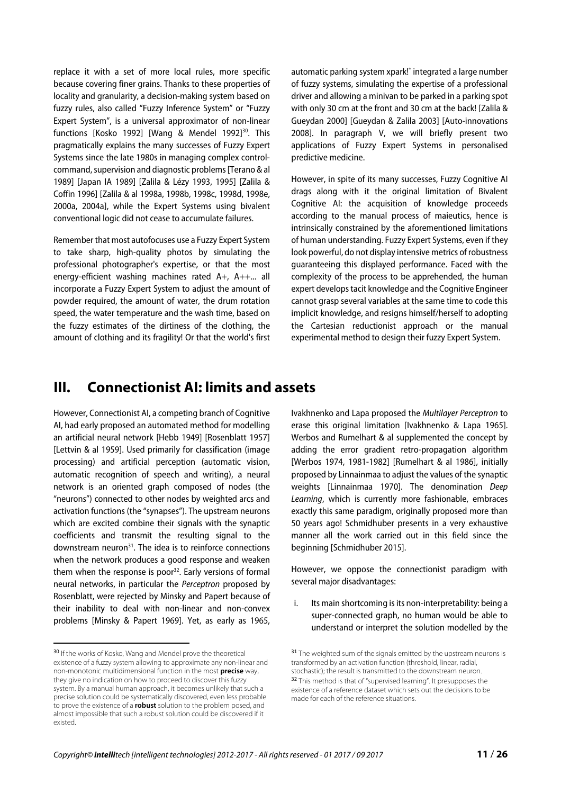replace it with a set of more local rules, more specific because covering finer grains. Thanks to these properties of locality and granularity, a decision-making system based on fuzzy rules, also called "Fuzzy Inference System" or "Fuzzy Expert System", is a universal approximator of non-linear functions [Kosko 1992] [Wang & Mendel 1992]<sup>30</sup>. This pragmatically explains the many successes of Fuzzy Expert Systems since the late 1980s in managing complex controlcommand, supervision and diagnostic problems [Terano & al 1989] [Japan IA 1989] [Zalila & Lézy 1993, 1995] [Zalila & Coffin 1996] [Zalila & al 1998a, 1998b, 1998c, 1998d, 1998e, 2000a, 2004a], while the Expert Systems using bivalent conventional logic did not cease to accumulate failures.

Remember that most autofocuses use a Fuzzy Expert System to take sharp, high-quality photos by simulating the professional photographer's expertise, or that the most energy-efficient washing machines rated A+, A++... all incorporate a Fuzzy Expert System to adjust the amount of powder required, the amount of water, the drum rotation speed, the water temperature and the wash time, based on the fuzzy estimates of the dirtiness of the clothing, the amount of clothing and its fragility! Or that the world's first

automatic parking system xpark!® integrated a large number of fuzzy systems, simulating the expertise of a professional driver and allowing a minivan to be parked in a parking spot with only 30 cm at the front and 30 cm at the back! [Zalila & Gueydan 2000] [Gueydan & Zalila 2003] [Auto-innovations 2008]. In paragraph V, we will briefly present two applications of Fuzzy Expert Systems in personalised predictive medicine.

However, in spite of its many successes, Fuzzy Cognitive AI drags along with it the original limitation of Bivalent Cognitive AI: the acquisition of knowledge proceeds according to the manual process of maieutics, hence is intrinsically constrained by the aforementioned limitations of human understanding. Fuzzy Expert Systems, even if they look powerful, do not display intensive metrics of robustness guaranteeing this displayed performance. Faced with the complexity of the process to be apprehended, the human expert develops tacit knowledge and the Cognitive Engineer cannot grasp several variables at the same time to code this implicit knowledge, and resigns himself/herself to adopting the Cartesian reductionist approach or the manual experimental method to design their fuzzy Expert System.

### **III. Connectionist AI: limits and assets**

However, Connectionist AI, a competing branch of Cognitive AI, had early proposed an automated method for modelling an artificial neural network [Hebb 1949] [Rosenblatt 1957] [Lettvin & al 1959]. Used primarily for classification (image processing) and artificial perception (automatic vision, automatic recognition of speech and writing), a neural network is an oriented graph composed of nodes (the "neurons") connected to other nodes by weighted arcs and activation functions (the "synapses"). The upstream neurons which are excited combine their signals with the synaptic coefficients and transmit the resulting signal to the downstream neuron<sup>31</sup>. The idea is to reinforce connections when the network produces a good response and weaken them when the response is poor $32$ . Early versions of formal neural networks, in particular the Perceptron proposed by Rosenblatt, were rejected by Minsky and Papert because of their inability to deal with non-linear and non-convex problems [Minsky & Papert 1969]. Yet, as early as 1965,

 $\overline{\phantom{a}}$ 

Ivakhnenko and Lapa proposed the Multilayer Perceptron to erase this original limitation [Ivakhnenko & Lapa 1965]. Werbos and Rumelhart & al supplemented the concept by adding the error gradient retro-propagation algorithm [Werbos 1974, 1981-1982] [Rumelhart & al 1986], initially proposed by Linnainmaa to adjust the values of the synaptic weights [Linnainmaa 1970]. The denomination Deep Learning, which is currently more fashionable, embraces exactly this same paradigm, originally proposed more than 50 years ago! Schmidhuber presents in a very exhaustive manner all the work carried out in this field since the beginning [Schmidhuber 2015].

However, we oppose the connectionist paradigm with several major disadvantages:

i. Its main shortcoming is its non-interpretability: being a super-connected graph, no human would be able to understand or interpret the solution modelled by the

<sup>30</sup> If the works of Kosko, Wang and Mendel prove the theoretical existence of a fuzzy system allowing to approximate any non-linear and non-monotonic multidimensional function in the most **precise** way, they give no indication on how to proceed to discover this fuzzy system. By a manual human approach, it becomes unlikely that such a precise solution could be systematically discovered, even less probable to prove the existence of a **robust** solution to the problem posed, and almost impossible that such a robust solution could be discovered if it existed.

<sup>&</sup>lt;sup>31</sup> The weighted sum of the signals emitted by the upstream neurons is transformed by an activation function (threshold, linear, radial, stochastic); the result is transmitted to the downstream neuron. <sup>32</sup> This method is that of "supervised learning". It presupposes the existence of a reference dataset which sets out the decisions to be made for each of the reference situations.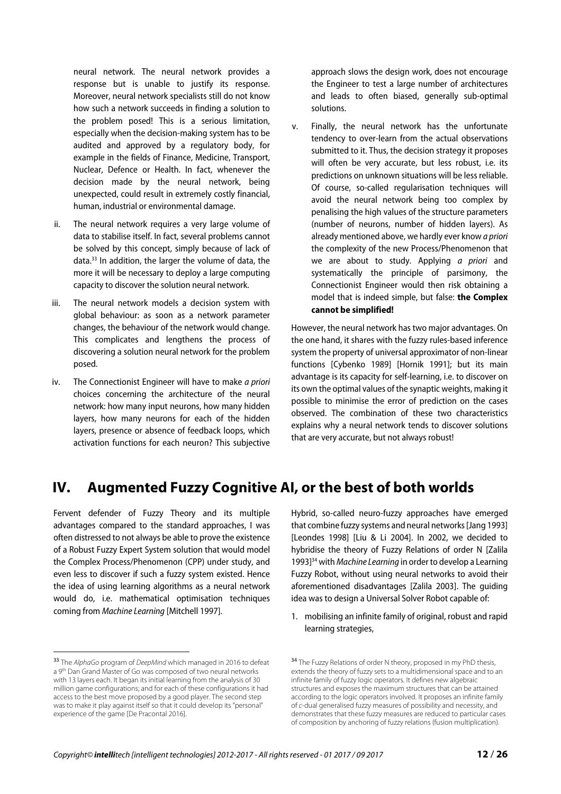neural network. The neural network provides a response but is unable to justify its response. Moreover, neural network specialists still do not know how such a network succeeds in finding a solution to the problem posed! This is a serious limitation, especially when the decision-making system has to be audited and approved by a regulatory body, for example in the fields of Finance, Medicine, Transport, Nuclear, Defence or Health. In fact, whenever the decision made by the neural network, being unexpected, could result in extremely costly financial, human, industrial or environmental damage.

- ii. The neural network requires a very large volume of data to stabilise itself. In fact, several problems cannot be solved by this concept, simply because of lack of data.33 In addition, the larger the volume of data, the more it will be necessary to deploy a large computing capacity to discover the solution neural network.
- iii. The neural network models a decision system with global behaviour: as soon as a network parameter changes, the behaviour of the network would change. This complicates and lengthens the process of discovering a solution neural network for the problem posed.
- iv. The Connectionist Engineer will have to make a priori choices concerning the architecture of the neural network: how many input neurons, how many hidden layers, how many neurons for each of the hidden layers, presence or absence of feedback loops, which activation functions for each neuron? This subjective

approach slows the design work, does not encourage the Engineer to test a large number of architectures and leads to often biased, generally sub-optimal solutions.

v. Finally, the neural network has the unfortunate tendency to over-learn from the actual observations submitted to it. Thus, the decision strategy it proposes will often be very accurate, but less robust, i.e. its predictions on unknown situations will be less reliable. Of course, so-called regularisation techniques will avoid the neural network being too complex by penalising the high values of the structure parameters (number of neurons, number of hidden layers). As already mentioned above, we hardly ever know a priori the complexity of the new Process/Phenomenon that we are about to study. Applying a priori and systematically the principle of parsimony, the Connectionist Engineer would then risk obtaining a model that is indeed simple, but false: **the Complex cannot be simplified!**

However, the neural network has two major advantages. On the one hand, it shares with the fuzzy rules-based inference system the property of universal approximator of non-linear functions [Cybenko 1989] [Hornik 1991]; but its main advantage is its capacity for self-learning, i.e. to discover on its own the optimal values of the synaptic weights, making it possible to minimise the error of prediction on the cases observed. The combination of these two characteristics explains why a neural network tends to discover solutions that are very accurate, but not always robust!

# **IV. Augmented Fuzzy Cognitive AI, or the best of both worlds**

Fervent defender of Fuzzy Theory and its multiple advantages compared to the standard approaches, I was often distressed to not always be able to prove the existence of a Robust Fuzzy Expert System solution that would model the Complex Process/Phenomenon (CPP) under study, and even less to discover if such a fuzzy system existed. Hence the idea of using learning algorithms as a neural network would do, i.e. mathematical optimisation techniques coming from Machine Learning [Mitchell 1997].

 $\overline{\phantom{a}}$ 

Hybrid, so-called neuro-fuzzy approaches have emerged that combine fuzzy systems and neural networks [Jang 1993] [Leondes 1998] [Liu & Li 2004]. In 2002, we decided to hybridise the theory of Fuzzy Relations of order N [Zalila 1993]<sup>34</sup> with Machine Learning in order to develop a Learning Fuzzy Robot, without using neural networks to avoid their aforementioned disadvantages [Zalila 2003]. The guiding idea was to design a Universal Solver Robot capable of:

1. mobilising an infinite family of original, robust and rapid learning strategies,

<sup>&</sup>lt;sup>33</sup> The AlphaGo program of DeepMind which managed in 2016 to defeat a 9<sup>th</sup> Dan Grand Master of Go was composed of two neural networks with 13 layers each. It began its initial learning from the analysis of 30 million game configurations; and for each of these configurations it had access to the best move proposed by a good player. The second step was to make it play against itself so that it could develop its "personal" experience of the game [De Pracontal 2016].

<sup>&</sup>lt;sup>34</sup> The Fuzzy Relations of order N theory, proposed in my PhD thesis, extends the theory of fuzzy sets to a multidimensional space and to an infinite family of fuzzy logic operators. It defines new algebraic structures and exposes the maximum structures that can be attained according to the logic operators involved. It proposes an infinite family of c-dual generalised fuzzy measures of possibility and necessity, and demonstrates that these fuzzy measures are reduced to particular cases of composition by anchoring of fuzzy relations (fusion multiplication).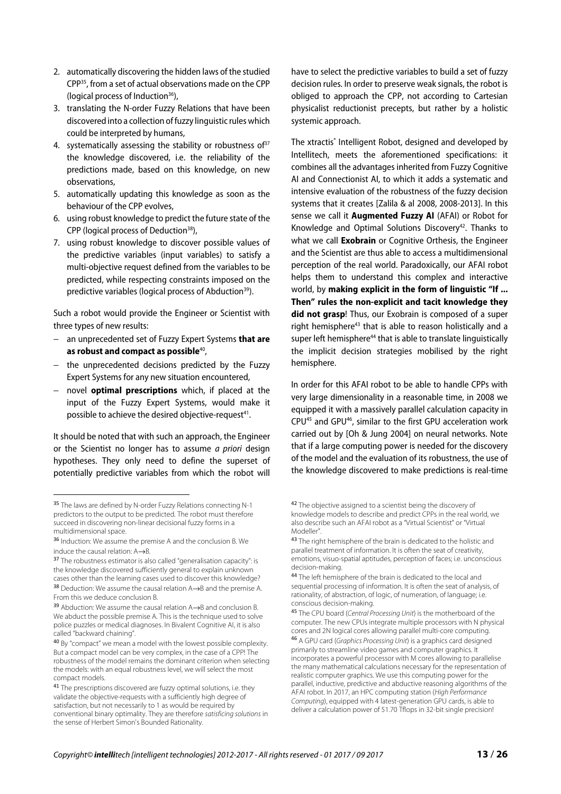- 2. automatically discovering the hidden laws of the studied CPP35, from a set of actual observations made on the CPP (logical process of Induction $36$ ),
- 3. translating the N-order Fuzzy Relations that have been discovered into a collection of fuzzy linguistic rules which could be interpreted by humans,
- 4. systematically assessing the stability or robustness of  $37$ the knowledge discovered, i.e. the reliability of the predictions made, based on this knowledge, on new observations,
- 5. automatically updating this knowledge as soon as the behaviour of the CPP evolves,
- 6. using robust knowledge to predict the future state of the CPP (logical process of Deduction<sup>38</sup>),
- 7. using robust knowledge to discover possible values of the predictive variables (input variables) to satisfy a multi-objective request defined from the variables to be predicted, while respecting constraints imposed on the predictive variables (logical process of Abduction<sup>39</sup>).

Such a robot would provide the Engineer or Scientist with three types of new results:

- − an unprecedented set of Fuzzy Expert Systems **that are as robust and compact as possible**40,
- − the unprecedented decisions predicted by the Fuzzy Expert Systems for any new situation encountered,
- − novel **optimal prescriptions** which, if placed at the input of the Fuzzy Expert Systems, would make it possible to achieve the desired objective-request<sup>41</sup>.

It should be noted that with such an approach, the Engineer or the Scientist no longer has to assume *a priori* design hypotheses. They only need to define the superset of potentially predictive variables from which the robot will

 $\overline{a}$ 

have to select the predictive variables to build a set of fuzzy decision rules. In order to preserve weak signals, the robot is obliged to approach the CPP, not according to Cartesian physicalist reductionist precepts, but rather by a holistic systemic approach.

The xtractis® Intelligent Robot, designed and developed by Intellitech, meets the aforementioned specifications: it combines all the advantages inherited from Fuzzy Cognitive AI and Connectionist AI, to which it adds a systematic and intensive evaluation of the robustness of the fuzzy decision systems that it creates [Zalila & al 2008, 2008-2013]. In this sense we call it **Augmented Fuzzy AI** (AFAI) or Robot for Knowledge and Optimal Solutions Discovery<sup>42</sup>. Thanks to what we call **Exobrain** or Cognitive Orthesis, the Engineer and the Scientist are thus able to access a multidimensional perception of the real world. Paradoxically, our AFAI robot helps them to understand this complex and interactive world, by **making explicit in the form of linguistic "If ... Then" rules the non-explicit and tacit knowledge they did not grasp**! Thus, our Exobrain is composed of a super right hemisphere<sup>43</sup> that is able to reason holistically and a super left hemisphere<sup>44</sup> that is able to translate linguistically the implicit decision strategies mobilised by the right hemisphere.

In order for this AFAI robot to be able to handle CPPs with very large dimensionality in a reasonable time, in 2008 we equipped it with a massively parallel calculation capacity in CPU45 and GPU46, similar to the first GPU acceleration work carried out by [Oh & Jung 2004] on neural networks. Note that if a large computing power is needed for the discovery of the model and the evaluation of its robustness, the use of the knowledge discovered to make predictions is real-time

<sup>&</sup>lt;sup>35</sup> The laws are defined by N-order Fuzzy Relations connecting N-1 predictors to the output to be predicted. The robot must therefore succeed in discovering non-linear decisional fuzzy forms in a multidimensional space.

<sup>36</sup> Induction: We assume the premise A and the conclusion B. We induce the causal relation: A→B.

<sup>&</sup>lt;sup>37</sup> The robustness estimator is also called "generalisation capacity": is the knowledge discovered sufficiently general to explain unknown cases other than the learning cases used to discover this knowledge? <sup>38</sup> Deduction: We assume the causal relation A→B and the premise A. From this we deduce conclusion B.

<sup>39</sup> Abduction: We assume the causal relation A→B and conclusion B. We abduct the possible premise A. This is the technique used to solve police puzzles or medical diagnoses. In Bivalent Cognitive AI, it is also called "backward chaining".

<sup>40</sup> By "compact" we mean a model with the lowest possible complexity. But a compact model can be very complex, in the case of a CPP! The robustness of the model remains the dominant criterion when selecting the models: with an equal robustness level, we will select the most compact models.

<sup>&</sup>lt;sup>41</sup> The prescriptions discovered are fuzzy optimal solutions, i.e. they validate the objective-requests with a sufficiently high degree of satisfaction, but not necessarily to 1 as would be required by conventional binary optimality. They are therefore satisficing solutions in the sense of Herbert Simon's Bounded Rationality.

<sup>42</sup> The objective assigned to a scientist being the discovery of knowledge models to describe and predict CPPs in the real world, we also describe such an AFAI robot as a "Virtual Scientist" or "Virtual Modeller".

<sup>43</sup> The right hemisphere of the brain is dedicated to the holistic and parallel treatment of information. It is often the seat of creativity, emotions, visuo-spatial aptitudes, perception of faces; i.e. unconscious decision-making.

<sup>44</sup> The left hemisphere of the brain is dedicated to the local and sequential processing of information. It is often the seat of analysis, of rationality, of abstraction, of logic, of numeration, of language; i.e. conscious decision-making.

<sup>45</sup> The CPU board (Central Processing Unit) is the motherboard of the computer. The new CPUs integrate multiple processors with N physical cores and 2N logical cores allowing parallel multi-core computing. 46 A GPU card (Graphics Processing Unit) is a graphics card designed primarily to streamline video games and computer graphics. It incorporates a powerful processor with M cores allowing to parallelise the many mathematical calculations necessary for the representation of realistic computer graphics. We use this computing power for the parallel, inductive, predictive and abductive reasoning algorithms of the AFAI robot. In 2017, an HPC computing station (High Performance Computing), equipped with 4 latest-generation GPU cards, is able to deliver a calculation power of 51.70 Tflops in 32-bit single precision!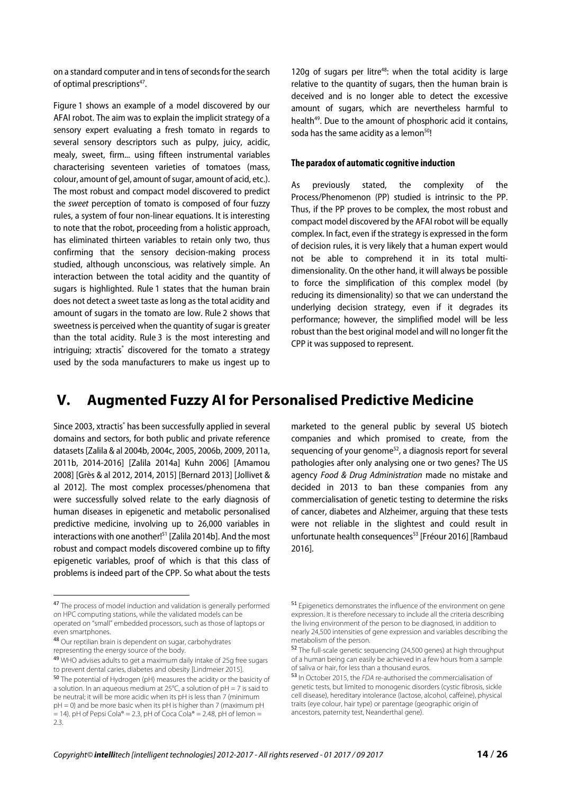on a standard computer and in tens of seconds for the search of optimal prescriptions<sup>47</sup>.

Figure 1 shows an example of a model discovered by our AFAI robot. The aim was to explain the implicit strategy of a sensory expert evaluating a fresh tomato in regards to several sensory descriptors such as pulpy, juicy, acidic, mealy, sweet, firm... using fifteen instrumental variables characterising seventeen varieties of tomatoes (mass, colour, amount of gel, amount of sugar, amount of acid, etc.). The most robust and compact model discovered to predict the sweet perception of tomato is composed of four fuzzy rules, a system of four non-linear equations. It is interesting to note that the robot, proceeding from a holistic approach, has eliminated thirteen variables to retain only two, thus confirming that the sensory decision-making process studied, although unconscious, was relatively simple. An interaction between the total acidity and the quantity of sugars is highlighted. Rule 1 states that the human brain does not detect a sweet taste as long as the total acidity and amount of sugars in the tomato are low. Rule 2 shows that sweetness is perceived when the quantity of sugar is greater than the total acidity. Rule 3 is the most interesting and intriguing; xtractis® discovered for the tomato a strategy used by the soda manufacturers to make us ingest up to

120g of sugars per litre<sup>48</sup>: when the total acidity is large relative to the quantity of sugars, then the human brain is deceived and is no longer able to detect the excessive amount of sugars, which are nevertheless harmful to health<sup>49</sup>. Due to the amount of phosphoric acid it contains, soda has the same acidity as a lemon<sup>50</sup>!

#### **The paradox of automatic cognitive induction**

As previously stated, the complexity of the Process/Phenomenon (PP) studied is intrinsic to the PP. Thus, if the PP proves to be complex, the most robust and compact model discovered by the AFAI robot will be equally complex. In fact, even if the strategy is expressed in the form of decision rules, it is very likely that a human expert would not be able to comprehend it in its total multidimensionality. On the other hand, it will always be possible to force the simplification of this complex model (by reducing its dimensionality) so that we can understand the underlying decision strategy, even if it degrades its performance; however, the simplified model will be less robust than the best original model and will no longer fit the CPP it was supposed to represent.

### **V. Augmented Fuzzy AI for Personalised Predictive Medicine**

Since 2003, xtractis® has been successfully applied in several domains and sectors, for both public and private reference datasets [Zalila & al 2004b, 2004c, 2005, 2006b, 2009, 2011a, 2011b, 2014-2016] [Zalila 2014a] Kuhn 2006] [Amamou 2008] [Grès & al 2012, 2014, 2015] [Bernard 2013] [Jollivet & al 2012]. The most complex processes/phenomena that were successfully solved relate to the early diagnosis of human diseases in epigenetic and metabolic personalised predictive medicine, involving up to 26,000 variables in interactions with one another!<sup>51</sup> [Zalila 2014b]. And the most robust and compact models discovered combine up to fifty epigenetic variables, proof of which is that this class of problems is indeed part of the CPP. So what about the tests

 $\overline{\phantom{a}}$ 

marketed to the general public by several US biotech companies and which promised to create, from the sequencing of your genome $52$ , a diagnosis report for several pathologies after only analysing one or two genes? The US agency Food & Drug Administration made no mistake and decided in 2013 to ban these companies from any commercialisation of genetic testing to determine the risks of cancer, diabetes and Alzheimer, arguing that these tests were not reliable in the slightest and could result in unfortunate health consequences<sup>53</sup> [Fréour 2016] [Rambaud 2016].

<sup>47</sup> The process of model induction and validation is generally performed on HPC computing stations, while the validated models can be operated on "small" embedded processors, such as those of laptops or even smartphones.

<sup>48</sup> Our reptilian brain is dependent on sugar, carbohydrates representing the energy source of the body.

<sup>49</sup> WHO advises adults to get a maximum daily intake of 25g free sugars to prevent dental caries, diabetes and obesity [Lindmeier 2015].

<sup>50</sup> The potential of Hydrogen (pH) measures the acidity or the basicity of a solution. In an aqueous medium at 25°C, a solution of pH = 7 is said to be neutral; it will be more acidic when its pH is less than 7 (minimum pH = 0) and be more basic when its pH is higher than 7 (maximum pH  $= 14$ ). pH of Pepsi Cola® = 2.3, pH of Coca Cola® = 2.48, pH of lemon = 2.3.

<sup>&</sup>lt;sup>51</sup> Epigenetics demonstrates the influence of the environment on gene expression. It is therefore necessary to include all the criteria describing the living environment of the person to be diagnosed, in addition to nearly 24,500 intensities of gene expression and variables describing the metabolism of the person.

<sup>52</sup> The full-scale genetic sequencing (24,500 genes) at high throughput of a human being can easily be achieved in a few hours from a sample of saliva or hair, for less than a thousand euros.

<sup>53</sup> In October 2015, the FDA re-authorised the commercialisation of genetic tests, but limited to monogenic disorders (cystic fibrosis, sickle cell disease), hereditary intolerance (lactose, alcohol, caffeine), physical traits (eye colour, hair type) or parentage (geographic origin of ancestors, paternity test, Neanderthal gene).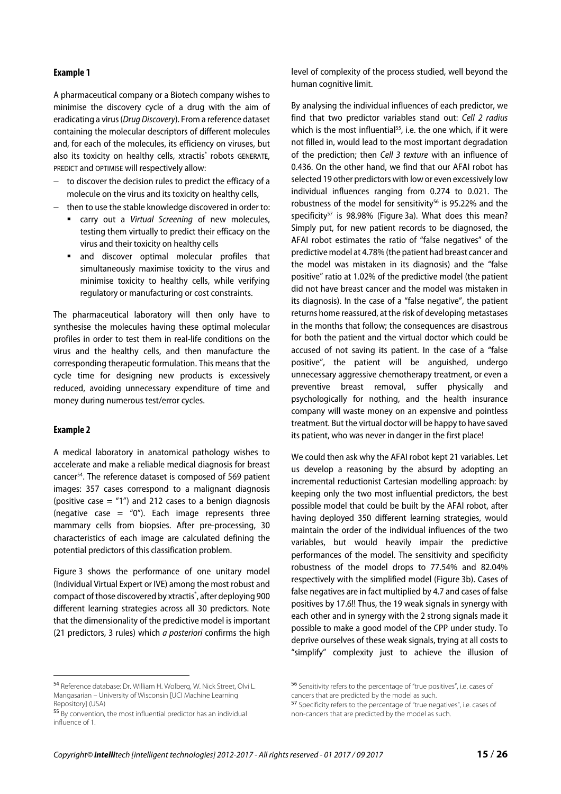#### **Example 1**

A pharmaceutical company or a Biotech company wishes to minimise the discovery cycle of a drug with the aim of eradicating a virus (Drug Discovery). From a reference dataset containing the molecular descriptors of different molecules and, for each of the molecules, its efficiency on viruses, but also its toxicity on healthy cells, xtractis® robots GENERATE, PREDICT and OPTIMISE will respectively allow:

- − to discover the decision rules to predict the efficacy of a molecule on the virus and its toxicity on healthy cells,
- − then to use the stable knowledge discovered in order to:
	- carry out a Virtual Screening of new molecules, testing them virtually to predict their efficacy on the virus and their toxicity on healthy cells
	- and discover optimal molecular profiles that simultaneously maximise toxicity to the virus and minimise toxicity to healthy cells, while verifying regulatory or manufacturing or cost constraints.

The pharmaceutical laboratory will then only have to synthesise the molecules having these optimal molecular profiles in order to test them in real-life conditions on the virus and the healthy cells, and then manufacture the corresponding therapeutic formulation. This means that the cycle time for designing new products is excessively reduced, avoiding unnecessary expenditure of time and money during numerous test/error cycles.

#### **Example 2**

 $\overline{\phantom{a}}$ 

A medical laboratory in anatomical pathology wishes to accelerate and make a reliable medical diagnosis for breast cancer54. The reference dataset is composed of 569 patient images: 357 cases correspond to a malignant diagnosis (positive case  $=$  "1") and 212 cases to a benign diagnosis (negative case = "0"). Each image represents three mammary cells from biopsies. After pre-processing, 30 characteristics of each image are calculated defining the potential predictors of this classification problem.

Figure 3 shows the performance of one unitary model (Individual Virtual Expert or IVE) among the most robust and compact of those discovered by xtractis<sup>®</sup>, after deploying 900 different learning strategies across all 30 predictors. Note that the dimensionality of the predictive model is important (21 predictors, 3 rules) which a posteriori confirms the high level of complexity of the process studied, well beyond the human cognitive limit.

By analysing the individual influences of each predictor, we find that two predictor variables stand out: Cell 2 radius which is the most influential<sup>55</sup>, i.e. the one which, if it were not filled in, would lead to the most important degradation of the prediction; then Cell 3 texture with an influence of 0.436. On the other hand, we find that our AFAI robot has selected 19 other predictors with low or even excessively low individual influences ranging from 0.274 to 0.021. The robustness of the model for sensitivity<sup>56</sup> is 95.22% and the specificity<sup>57</sup> is 98.98% (Figure 3a). What does this mean? Simply put, for new patient records to be diagnosed, the AFAI robot estimates the ratio of "false negatives" of the predictive model at 4.78% (the patient had breast cancer and the model was mistaken in its diagnosis) and the "false positive" ratio at 1.02% of the predictive model (the patient did not have breast cancer and the model was mistaken in its diagnosis). In the case of a "false negative", the patient returns home reassured, at the risk of developing metastases in the months that follow; the consequences are disastrous for both the patient and the virtual doctor which could be accused of not saving its patient. In the case of a "false positive", the patient will be anguished, undergo unnecessary aggressive chemotherapy treatment, or even a preventive breast removal, suffer physically and psychologically for nothing, and the health insurance company will waste money on an expensive and pointless treatment. But the virtual doctor will be happy to have saved its patient, who was never in danger in the first place!

We could then ask why the AFAI robot kept 21 variables. Let us develop a reasoning by the absurd by adopting an incremental reductionist Cartesian modelling approach: by keeping only the two most influential predictors, the best possible model that could be built by the AFAI robot, after having deployed 350 different learning strategies, would maintain the order of the individual influences of the two variables, but would heavily impair the predictive performances of the model. The sensitivity and specificity robustness of the model drops to 77.54% and 82.04% respectively with the simplified model (Figure 3b). Cases of false negatives are in fact multiplied by 4.7 and cases of false positives by 17.6!! Thus, the 19 weak signals in synergy with each other and in synergy with the 2 strong signals made it possible to make a good model of the CPP under study. To deprive ourselves of these weak signals, trying at all costs to "simplify" complexity just to achieve the illusion of

<sup>54</sup> Reference database: Dr. William H. Wolberg, W. Nick Street, Olvi L. Mangasarian – University of Wisconsin [UCI Machine Learning Repository] (USA)

<sup>55</sup> By convention, the most influential predictor has an individual influence of 1.

<sup>56</sup> Sensitivity refers to the percentage of "true positives", i.e. cases of cancers that are predicted by the model as such.

<sup>57</sup> Specificity refers to the percentage of "true negatives", i.e. cases of non-cancers that are predicted by the model as such.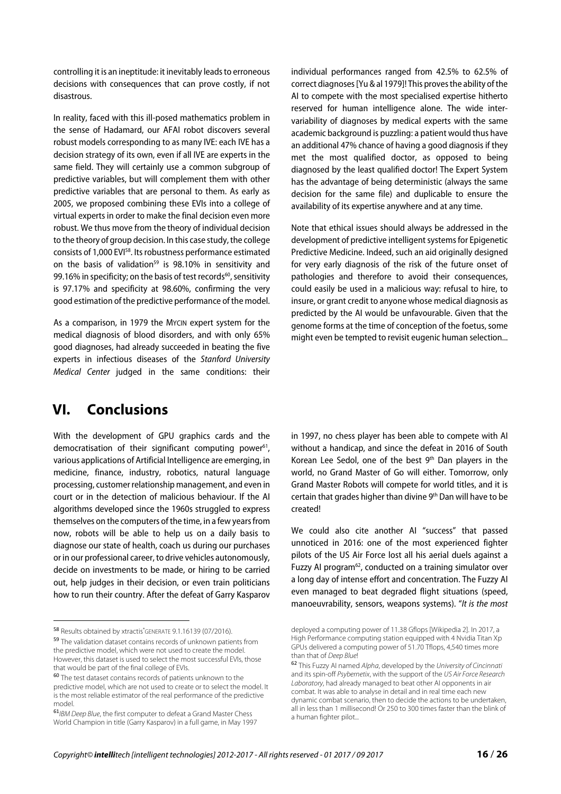controlling it is an ineptitude: it inevitably leads to erroneous decisions with consequences that can prove costly, if not disastrous.

In reality, faced with this ill-posed mathematics problem in the sense of Hadamard, our AFAI robot discovers several robust models corresponding to as many IVE: each IVE has a decision strategy of its own, even if all IVE are experts in the same field. They will certainly use a common subgroup of predictive variables, but will complement them with other predictive variables that are personal to them. As early as 2005, we proposed combining these EVIs into a college of virtual experts in order to make the final decision even more robust. We thus move from the theory of individual decision to the theory of group decision. In this case study, the college consists of 1,000 EVI58. Its robustness performance estimated on the basis of validation<sup>59</sup> is 98.10% in sensitivity and 99.16% in specificity; on the basis of test records<sup>60</sup>, sensitivity is 97.17% and specificity at 98.60%, confirming the very good estimation of the predictive performance of the model.

As a comparison, in 1979 the MYCIN expert system for the medical diagnosis of blood disorders, and with only 65% good diagnoses, had already succeeded in beating the five experts in infectious diseases of the Stanford University Medical Center judged in the same conditions: their

# **VI. Conclusions**

With the development of GPU graphics cards and the democratisation of their significant computing power<sup>61</sup>, various applications of Artificial Intelligence are emerging, in medicine, finance, industry, robotics, natural language processing, customer relationship management, and even in court or in the detection of malicious behaviour. If the AI algorithms developed since the 1960s struggled to express themselves on the computers of the time, in a few years from now, robots will be able to help us on a daily basis to diagnose our state of health, coach us during our purchases or in our professional career, to drive vehicles autonomously, decide on investments to be made, or hiring to be carried out, help judges in their decision, or even train politicians how to run their country. After the defeat of Garry Kasparov

 $\overline{\phantom{a}}$ 

<sup>59</sup> The validation dataset contains records of unknown patients from the predictive model, which were not used to create the model. However, this dataset is used to select the most successful EVIs, those that would be part of the final college of EVIs.

individual performances ranged from 42.5% to 62.5% of correct diagnoses [Yu & al 1979]! This proves the ability of the AI to compete with the most specialised expertise hitherto reserved for human intelligence alone. The wide intervariability of diagnoses by medical experts with the same academic background is puzzling: a patient would thus have an additional 47% chance of having a good diagnosis if they met the most qualified doctor, as opposed to being diagnosed by the least qualified doctor! The Expert System has the advantage of being deterministic (always the same decision for the same file) and duplicable to ensure the availability of its expertise anywhere and at any time.

Note that ethical issues should always be addressed in the development of predictive intelligent systems for Epigenetic Predictive Medicine. Indeed, such an aid originally designed for very early diagnosis of the risk of the future onset of pathologies and therefore to avoid their consequences, could easily be used in a malicious way: refusal to hire, to insure, or grant credit to anyone whose medical diagnosis as predicted by the AI would be unfavourable. Given that the genome forms at the time of conception of the foetus, some might even be tempted to revisit eugenic human selection...

in 1997, no chess player has been able to compete with AI without a handicap, and since the defeat in 2016 of South Korean Lee Sedol, one of the best 9th Dan players in the world, no Grand Master of Go will either. Tomorrow, only Grand Master Robots will compete for world titles, and it is certain that grades higher than divine 9<sup>th</sup> Dan will have to be created!

We could also cite another AI "success" that passed unnoticed in 2016: one of the most experienced fighter pilots of the US Air Force lost all his aerial duels against a Fuzzy AI program<sup>62</sup>, conducted on a training simulator over a long day of intense effort and concentration. The Fuzzy AI even managed to beat degraded flight situations (speed, manoeuvrability, sensors, weapons systems). "It is the most

<sup>58</sup> Results obtained by xtractis GENERATE 9.1.16139 (07/2016).

<sup>60</sup> The test dataset contains records of patients unknown to the predictive model, which are not used to create or to select the model. It is the most reliable estimator of the real performance of the predictive model.

<sup>61/</sup>BM Deep Blue, the first computer to defeat a Grand Master Chess World Champion in title (Garry Kasparov) in a full game, in May 1997

deployed a computing power of 11.38 Gflops [Wikipedia 2]. In 2017, a High Performance computing station equipped with 4 Nvidia Titan Xp GPUs delivered a computing power of 51.70 Tflops, 4,540 times more than that of Deep Blue!

<sup>62</sup> This Fuzzy AI named Alpha, developed by the University of Cincinnati and its spin-off Psybernetix, with the support of the US Air Force Research Laboratory, had already managed to beat other AI opponents in air combat. It was able to analyse in detail and in real time each new dynamic combat scenario, then to decide the actions to be undertaken, all in less than 1 millisecond! Or 250 to 300 times faster than the blink of a human fighter pilot...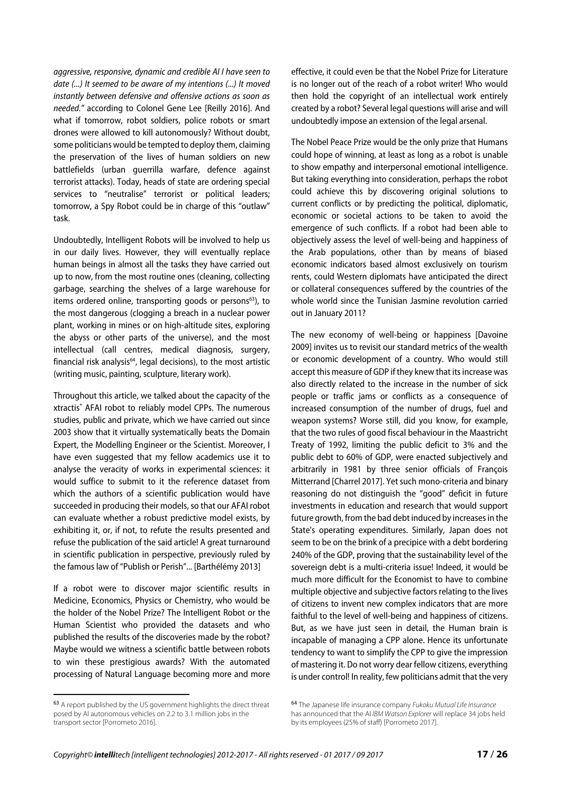aggressive, responsive, dynamic and credible AI I have seen to date (...) It seemed to be aware of my intentions (...) It moved instantly between defensive and offensive actions as soon as needed." according to Colonel Gene Lee [Reilly 2016]. And what if tomorrow, robot soldiers, police robots or smart drones were allowed to kill autonomously? Without doubt, some politicians would be tempted to deploy them, claiming the preservation of the lives of human soldiers on new battlefields (urban guerrilla warfare, defence against terrorist attacks). Today, heads of state are ordering special services to "neutralise" terrorist or political leaders; tomorrow, a Spy Robot could be in charge of this "outlaw" task.

Undoubtedly, Intelligent Robots will be involved to help us in our daily lives. However, they will eventually replace human beings in almost all the tasks they have carried out up to now, from the most routine ones (cleaning, collecting garbage, searching the shelves of a large warehouse for items ordered online, transporting goods or persons $<sup>63</sup>$ ), to</sup> the most dangerous (clogging a breach in a nuclear power plant, working in mines or on high-altitude sites, exploring the abyss or other parts of the universe), and the most intellectual (call centres, medical diagnosis, surgery, financial risk analysis $64$ , legal decisions), to the most artistic (writing music, painting, sculpture, literary work).

Throughout this article, we talked about the capacity of the xtractis® AFAI robot to reliably model CPPs. The numerous studies, public and private, which we have carried out since 2003 show that it virtually systematically beats the Domain Expert, the Modelling Engineer or the Scientist. Moreover, I have even suggested that my fellow academics use it to analyse the veracity of works in experimental sciences: it would suffice to submit to it the reference dataset from which the authors of a scientific publication would have succeeded in producing their models, so that our AFAI robot can evaluate whether a robust predictive model exists, by exhibiting it, or, if not, to refute the results presented and refuse the publication of the said article! A great turnaround in scientific publication in perspective, previously ruled by the famous law of "Publish or Perish"... [Barthélémy 2013]

If a robot were to discover major scientific results in Medicine, Economics, Physics or Chemistry, who would be the holder of the Nobel Prize? The Intelligent Robot or the Human Scientist who provided the datasets and who published the results of the discoveries made by the robot? Maybe would we witness a scientific battle between robots to win these prestigious awards? With the automated processing of Natural Language becoming more and more

 $\overline{\phantom{a}}$ 

effective, it could even be that the Nobel Prize for Literature is no longer out of the reach of a robot writer! Who would then hold the copyright of an intellectual work entirely created by a robot? Several legal questions will arise and will undoubtedly impose an extension of the legal arsenal.

The Nobel Peace Prize would be the only prize that Humans could hope of winning, at least as long as a robot is unable to show empathy and interpersonal emotional intelligence. But taking everything into consideration, perhaps the robot could achieve this by discovering original solutions to current conflicts or by predicting the political, diplomatic, economic or societal actions to be taken to avoid the emergence of such conflicts. If a robot had been able to objectively assess the level of well-being and happiness of the Arab populations, other than by means of biased economic indicators based almost exclusively on tourism rents, could Western diplomats have anticipated the direct or collateral consequences suffered by the countries of the whole world since the Tunisian Jasmine revolution carried out in January 2011?

The new economy of well-being or happiness [Davoine 2009] invites us to revisit our standard metrics of the wealth or economic development of a country. Who would still accept this measure of GDP if they knew that its increase was also directly related to the increase in the number of sick people or traffic jams or conflicts as a consequence of increased consumption of the number of drugs, fuel and weapon systems? Worse still, did you know, for example, that the two rules of good fiscal behaviour in the Maastricht Treaty of 1992, limiting the public deficit to 3% and the public debt to 60% of GDP, were enacted subjectively and arbitrarily in 1981 by three senior officials of François Mitterrand [Charrel 2017]. Yet such mono-criteria and binary reasoning do not distinguish the "good" deficit in future investments in education and research that would support future growth, from the bad debt induced by increases in the State's operating expenditures. Similarly, Japan does not seem to be on the brink of a precipice with a debt bordering 240% of the GDP, proving that the sustainability level of the sovereign debt is a multi-criteria issue! Indeed, it would be much more difficult for the Economist to have to combine multiple objective and subjective factors relating to the lives of citizens to invent new complex indicators that are more faithful to the level of well-being and happiness of citizens. But, as we have just seen in detail, the Human brain is incapable of managing a CPP alone. Hence its unfortunate tendency to want to simplify the CPP to give the impression of mastering it. Do not worry dear fellow citizens, everything is under control! In reality, few politicians admit that the very

<sup>63</sup> A report published by the US government highlights the direct threat posed by AI autonomous vehicles on 2.2 to 3.1 million jobs in the transport sector [Porrometo 2016].

<sup>64</sup> The Japanese life insurance company Fukoku Mutual Life Insurance has announced that the AI IBM Watson Explorer will replace 34 jobs held by its employees (25% of staff) [Porrometo 2017].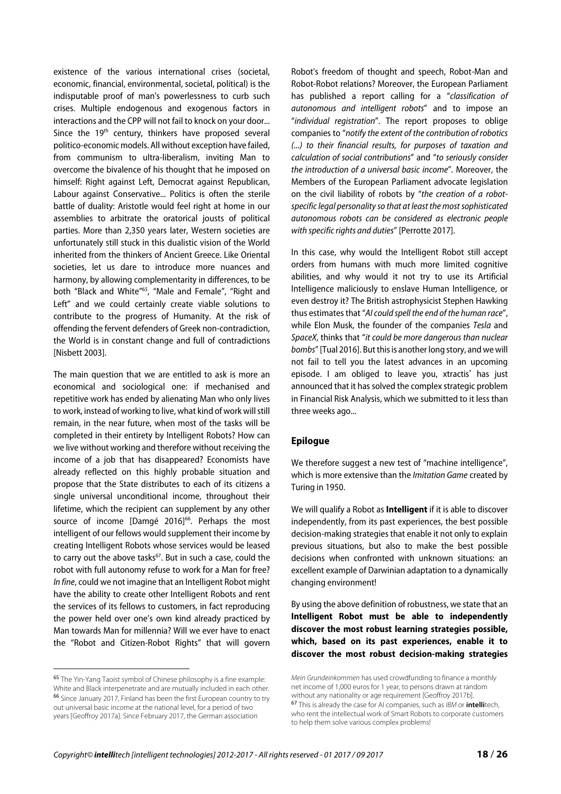existence of the various international crises (societal, economic, financial, environmental, societal, political) is the indisputable proof of man's powerlessness to curb such crises. Multiple endogenous and exogenous factors in interactions and the CPP will not fail to knock on your door... Since the 19<sup>th</sup> century, thinkers have proposed several politico-economic models. All without exception have failed, from communism to ultra-liberalism, inviting Man to overcome the bivalence of his thought that he imposed on himself: Right against Left, Democrat against Republican, Labour against Conservative... Politics is often the sterile battle of duality: Aristotle would feel right at home in our assemblies to arbitrate the oratorical jousts of political parties. More than 2,350 years later, Western societies are unfortunately still stuck in this dualistic vision of the World inherited from the thinkers of Ancient Greece. Like Oriental societies, let us dare to introduce more nuances and harmony, by allowing complementarity in differences, to be both "Black and White"65, "Male and Female", "Right and Left" and we could certainly create viable solutions to contribute to the progress of Humanity. At the risk of offending the fervent defenders of Greek non-contradiction, the World is in constant change and full of contradictions [Nisbett 2003].

The main question that we are entitled to ask is more an economical and sociological one: if mechanised and repetitive work has ended by alienating Man who only lives to work, instead of working to live, what kind of work will still remain, in the near future, when most of the tasks will be completed in their entirety by Intelligent Robots? How can we live without working and therefore without receiving the income of a job that has disappeared? Economists have already reflected on this highly probable situation and propose that the State distributes to each of its citizens a single universal unconditional income, throughout their lifetime, which the recipient can supplement by any other source of income [Damgé 2016]<sup>66</sup>. Perhaps the most intelligent of our fellows would supplement their income by creating Intelligent Robots whose services would be leased to carry out the above tasks<sup>67</sup>. But in such a case, could the robot with full autonomy refuse to work for a Man for free? In fine, could we not imagine that an Intelligent Robot might have the ability to create other Intelligent Robots and rent the services of its fellows to customers, in fact reproducing the power held over one's own kind already practiced by Man towards Man for millennia? Will we ever have to enact the "Robot and Citizen-Robot Rights" that will govern

 $\overline{\phantom{a}}$ 

Robot's freedom of thought and speech, Robot-Man and Robot-Robot relations? Moreover, the European Parliament has published a report calling for a "classification of autonomous and intelligent robots" and to impose an "individual registration". The report proposes to oblige companies to "notify the extent of the contribution of robotics (...) to their financial results, for purposes of taxation and calculation of social contributions" and "to seriously consider the introduction of a universal basic income". Moreover, the Members of the European Parliament advocate legislation on the civil liability of robots by "the creation of a robotspecific legal personality so that at least the most sophisticated autonomous robots can be considered as electronic people with specific rights and duties" [Perrotte 2017].

In this case, why would the Intelligent Robot still accept orders from humans with much more limited cognitive abilities, and why would it not try to use its Artificial Intelligence maliciously to enslave Human Intelligence, or even destroy it? The British astrophysicist Stephen Hawking thus estimates that "AI could spell the end of the human race", while Elon Musk, the founder of the companies Tesla and SpaceX, thinks that "it could be more dangerous than nuclear bombs" [Tual 2016]. But this is another long story, and we will not fail to tell you the latest advances in an upcoming episode. I am obliged to leave you, xtractis<sup>®</sup> has just announced that it has solved the complex strategic problem in Financial Risk Analysis, which we submitted to it less than three weeks ago...

#### **Epilogue**

We therefore suggest a new test of "machine intelligence", which is more extensive than the Imitation Game created by Turing in 1950.

We will qualify a Robot as **Intelligent** if it is able to discover independently, from its past experiences, the best possible decision-making strategies that enable it not only to explain previous situations, but also to make the best possible decisions when confronted with unknown situations: an excellent example of Darwinian adaptation to a dynamically changing environment!

By using the above definition of robustness, we state that an **Intelligent Robot must be able to independently discover the most robust learning strategies possible, which, based on its past experiences, enable it to discover the most robust decision-making strategies** 

<sup>65</sup> The Yin-Yang Taoist symbol of Chinese philosophy is a fine example: White and Black interpenetrate and are mutually included in each other. <sup>66</sup> Since January 2017, Finland has been the first European country to try out universal basic income at the national level, for a period of two years [Geoffroy 2017a]. Since February 2017, the German association

Mein Grundeinkommen has used crowdfunding to finance a monthly net income of 1,000 euros for 1 year, to persons drawn at random without any nationality or age requirement [Geoffroy 2017b]. <sup>67</sup> This is already the case for AI companies, such as IBM or **intelli**tech, who rent the intellectual work of Smart Robots to corporate customers to help them solve various complex problems!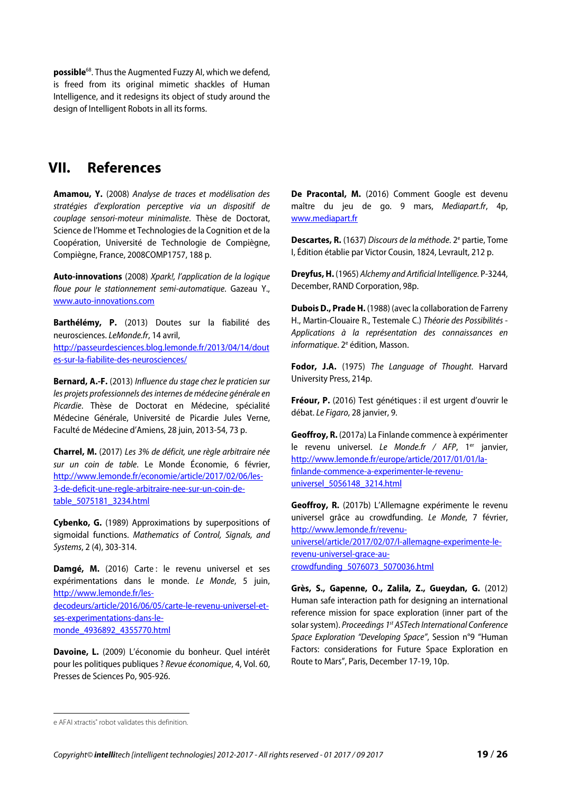**possible**<sup>68</sup>. Thus the Augmented Fuzzy AI, which we defend, is freed from its original mimetic shackles of Human Intelligence, and it redesigns its object of study around the design of Intelligent Robots in all its forms.

### **VII. References**

**Amamou, Y.** (2008) Analyse de traces et modélisation des stratégies d'exploration perceptive via un dispositif de couplage sensori-moteur minimaliste. Thèse de Doctorat, Science de l'Homme et Technologies de la Cognition et de la Coopération, Université de Technologie de Compiègne, Compiègne, France, 2008COMP1757, 188 p.

**Auto-innovations** (2008) Xpark!, l'application de la logique floue pour le stationnement semi-automatique. Gazeau Y., www.auto-innovations.com

**Barthélémy, P.** (2013) Doutes sur la fiabilité des neurosciences. LeMonde.fr, 14 avril, http://passeurdesciences.blog.lemonde.fr/2013/04/14/dout es-sur-la-fiabilite-des-neurosciences/

**Bernard, A.-F.** (2013) Influence du stage chez le praticien sur les projets professionnels des internes de médecine générale en Picardie. Thèse de Doctorat en Médecine, spécialité Médecine Générale, Université de Picardie Jules Verne, Faculté de Médecine d'Amiens, 28 juin, 2013-54, 73 p.

**Charrel, M.** (2017) Les 3% de déficit, une règle arbitraire née sur un coin de table. Le Monde Économie, 6 février, http://www.lemonde.fr/economie/article/2017/02/06/les-3-de-deficit-une-regle-arbitraire-nee-sur-un-coin-detable\_5075181\_3234.html

**Cybenko, G.** (1989) Approximations by superpositions of sigmoidal functions. Mathematics of Control, Signals, and Systems, 2 (4), 303-314.

Damqé, M. (2016) Carte: le revenu universel et ses expérimentations dans le monde. Le Monde, 5 juin, http://www.lemonde.fr/lesdecodeurs/article/2016/06/05/carte-le-revenu-universel-etses-experimentations-dans-lemonde\_4936892\_4355770.html

**Davoine, L.** (2009) L'économie du bonheur. Quel intérêt pour les politiques publiques ? Revue économique, 4, Vol. 60, Presses de Sciences Po, 905-926.

De Pracontal, M. (2016) Comment Google est devenu maître du jeu de go. 9 mars, Mediapart.fr, 4p, www.mediapart.fr

Descartes, R. (1637) Discours de la méthode. 2<sup>e</sup> partie, Tome I, Édition établie par Victor Cousin, 1824, Levrault, 212 p.

**Dreyfus, H.** (1965) Alchemy and Artificial Intelligence. P-3244, December, RAND Corporation, 98p.

**Dubois D., Prade H.** (1988) (avec la collaboration de Farreny H., Martin-Clouaire R., Testemale C.) Théorie des Possibilités - Applications à la représentation des connaissances en informatique. 2<sup>e</sup> édition, Masson.

**Fodor, J.A.** (1975) The Language of Thought. Harvard University Press, 214p.

**Fréour, P.** (2016) Test génétiques : il est urgent d'ouvrir le débat. Le Figaro, 28 janvier, 9.

**Geoffroy, R.** (2017a) La Finlande commence à expérimenter le revenu universel. Le Monde.fr / AFP, 1<sup>er</sup> janvier, http://www.lemonde.fr/europe/article/2017/01/01/lafinlande-commence-a-experimenter-le-revenuuniversel\_5056148\_3214.html

**Geoffroy, R.** (2017b) L'Allemagne expérimente le revenu universel grâce au crowdfunding. Le Monde, 7 février, http://www.lemonde.fr/revenuuniversel/article/2017/02/07/l-allemagne-experimente-lerevenu-universel-grace-aucrowdfunding\_5076073\_5070036.html

**Grès, S., Gapenne, O., Zalila, Z., Gueydan, G.** (2012) Human safe interaction path for designing an international reference mission for space exploration (inner part of the solar system). Proceedings 1<sup>st</sup> ASTech International Conference Space Exploration "Developing Space", Session n°9 "Human Factors: considerations for Future Space Exploration en Route to Mars", Paris, December 17-19, 10p.

 $\overline{\phantom{a}}$ 

e AFAI xtractis<sup>®</sup> robot validates this definition.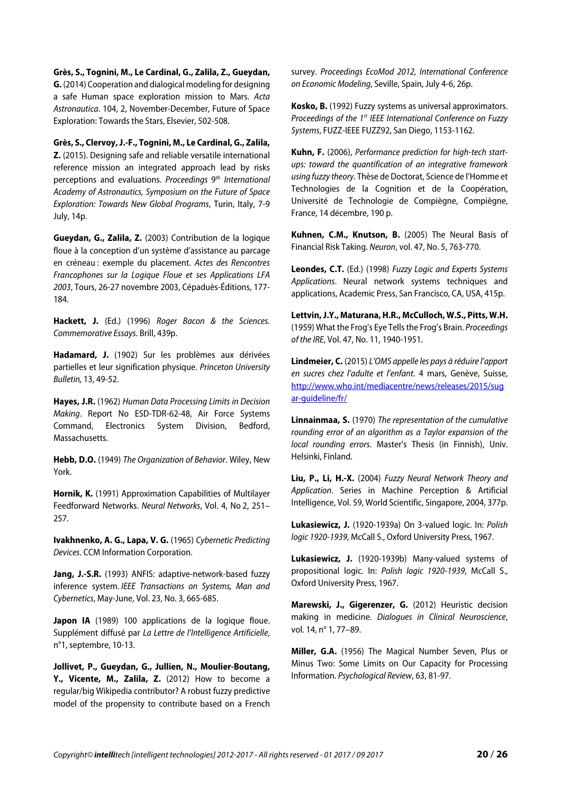**Grès, S., Tognini, M., Le Cardinal, G., Zalila, Z., Gueydan, G.** (2014) Cooperation and dialogical modeling for designing a safe Human space exploration mission to Mars. Acta Astronautica. 104, 2, November-December, Future of Space Exploration: Towards the Stars, Elsevier, 502-508.

**Grès, S., Clervoy, J.-F., Tognini, M., Le Cardinal, G., Zalila, Z.** (2015). Designing safe and reliable versatile international reference mission an integrated approach lead by risks perceptions and evaluations. Proceedings 9<sup>th</sup> International Academy of Astronautics, Symposium on the Future of Space Exploration: Towards New Global Programs, Turin, Italy, 7-9 July, 14p.

**Gueydan, G., Zalila, Z.** (2003) Contribution de la logique floue à la conception d'un système d'assistance au parcage en créneau : exemple du placement. Actes des Rencontres Francophones sur la Logique Floue et ses Applications LFA 2003, Tours, 26-27 novembre 2003, Cépaduès-Éditions, 177- 184.

Hackett, J. (Ed.) (1996) Roger Bacon & the Sciences. Commemorative Essays. Brill, 439p.

**Hadamard, J.** (1902) Sur les problèmes aux dérivées partielles et leur signification physique. Princeton University Bulletin, 13, 49-52.

**Hayes, J.R.** (1962) Human Data Processing Limits in Decision Making. Report No ESD-TDR-62-48, Air Force Systems Command, Electronics System Division, Bedford, Massachusetts.

**Hebb, D.O.** (1949) The Organization of Behavior. Wiley, New York.

**Hornik, K.** (1991) Approximation Capabilities of Multilayer Feedforward Networks. Neural Networks, Vol. 4, No 2, 251– 257.

**Ivakhnenko, A. G., Lapa, V. G.** (1965) Cybernetic Predicting Devices. CCM Information Corporation.

**Jang, J.-S.R.** (1993) ANFIS: adaptive-network-based fuzzy inference system. IEEE Transactions on Systems, Man and Cybernetics, May-June, Vol. 23, No. 3, 665-685.

Japon IA (1989) 100 applications de la logique floue. Supplément diffusé par La Lettre de l'Intelligence Artificielle, n°1, septembre, 10-13.

**Jollivet, P., Gueydan, G., Jullien, N., Moulier-Boutang, Y., Vicente, M., Zalila, Z.** (2012) How to become a regular/big Wikipedia contributor? A robust fuzzy predictive model of the propensity to contribute based on a French

survey. Proceedings EcoMod 2012, International Conference on Economic Modeling, Seville, Spain, July 4-6, 26p.

**Kosko, B.** (1992) Fuzzy systems as universal approximators. Proceedings of the 1<sup>st</sup> IEEE International Conference on Fuzzy Systems, FUZZ-IEEE FUZZ92, San Diego, 1153-1162.

**Kuhn, F.** (2006), Performance prediction for high-tech startups: toward the quantification of an integrative framework using fuzzy theory. Thèse de Doctorat, Science de l'Homme et Technologies de la Cognition et de la Coopération, Université de Technologie de Compiègne, Compiègne, France, 14 décembre, 190 p.

**Kuhnen, C.M., Knutson, B.** (2005) The Neural Basis of Financial Risk Taking. Neuron, vol. 47, No. 5, 763-770.

**Leondes, C.T.** (Ed.) (1998) Fuzzy Logic and Experts Systems Applications. Neural network systems techniques and applications, Academic Press, San Francisco, CA, USA, 415p.

**Lettvin, J.Y., Maturana, H.R., McCulloch, W.S., Pitts, W.H.** (1959) What the Frog's Eye Tells the Frog's Brain. Proceedings of the IRE, Vol. 47, No. 11, 1940-1951.

**Lindmeier, C.** (2015) L'OMS appelle les pays à réduire l'apport en sucres chez l'adulte et l'enfant. 4 mars, Genève, Suisse, http://www.who.int/mediacentre/news/releases/2015/sug ar-guideline/fr/

**Linnainmaa, S.** (1970) The representation of the cumulative rounding error of an algorithm as a Taylor expansion of the local rounding errors. Master's Thesis (in Finnish), Univ. Helsinki, Finland.

**Liu, P., Li, H.-X.** (2004) Fuzzy Neural Network Theory and Application. Series in Machine Perception & Artificial Intelligence, Vol. 59, World Scientific, Singapore, 2004, 377p.

**Lukasiewicz, J.** (1920-1939a) On 3-valued logic. In: Polish logic 1920-1939, McCall S., Oxford University Press, 1967.

**Lukasiewicz, J.** (1920-1939b) Many-valued systems of propositional logic. In: Polish logic 1920-1939, McCall S., Oxford University Press, 1967.

**Marewski, J., Gigerenzer, G.** (2012) Heuristic decision making in medicine. Dialogues in Clinical Neuroscience, vol. 14, nº 1, 77–89.

**Miller, G.A.** (1956) The Magical Number Seven, Plus or Minus Two: Some Limits on Our Capacity for Processing Information. Psychological Review, 63, 81-97.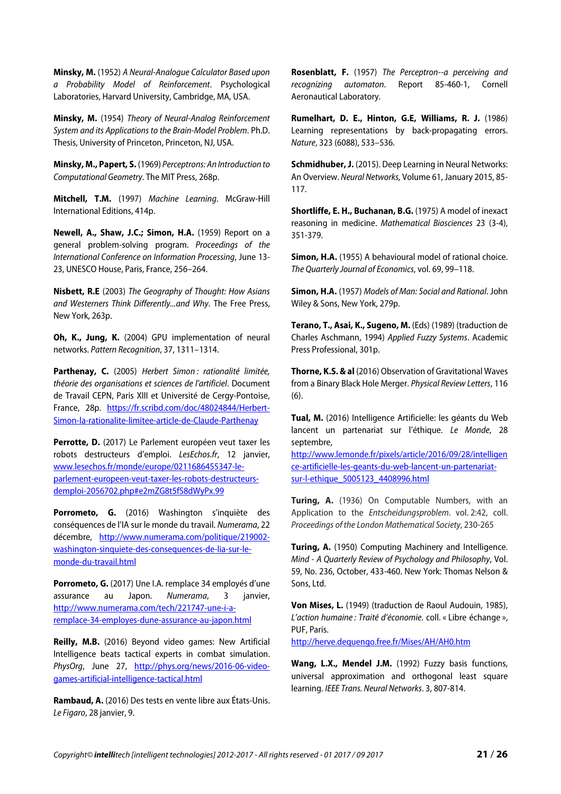**Minsky, M.** (1952) A Neural-Analogue Calculator Based upon a Probability Model of Reinforcement. Psychological Laboratories, Harvard University, Cambridge, MA, USA.

**Minsky, M.** (1954) Theory of Neural-Analog Reinforcement System and its Applications to the Brain-Model Problem. Ph.D. Thesis, University of Princeton, Princeton, NJ, USA.

**Minsky, M., Papert, S.** (1969) Perceptrons: An Introduction to Computational Geometry. The MIT Press, 268p.

**Mitchell, T.M.** (1997) Machine Learning. McGraw-Hill International Editions, 414p.

**Newell, A., Shaw, J.C.; Simon, H.A.** (1959) Report on a general problem-solving program. Proceedings of the International Conference on Information Processing, June 13- 23, UNESCO House, Paris, France, 256–264.

**Nisbett, R.E** (2003) The Geography of Thought: How Asians and Westerners Think Differently...and Why. The Free Press, New York, 263p.

**Oh, K., Jung, K.** (2004) GPU implementation of neural networks. Pattern Recognition, 37, 1311–1314.

Parthenay, C. (2005) Herbert Simon: rationalité limitée, théorie des organisations et sciences de l'artificiel. Document de Travail CEPN, Paris XIII et Université de Cergy-Pontoise, France, 28p. https://fr.scribd.com/doc/48024844/Herbert-Simon-la-rationalite-limitee-article-de-Claude-Parthenay

Perrotte, D. (2017) Le Parlement européen veut taxer les robots destructeurs d'emploi. LesEchos.fr, 12 janvier, www.lesechos.fr/monde/europe/0211686455347-leparlement-europeen-veut-taxer-les-robots-destructeursdemploi-2056702.php#e2mZG8t5fS8dWyPx.99

Porrometo, G. (2016) Washington s'inquiète des conséquences de l'IA sur le monde du travail. Numerama, 22 décembre, http://www.numerama.com/politique/219002 washington-sinquiete-des-consequences-de-lia-sur-lemonde-du-travail.html

**Porrometo, G.** (2017) Une I.A. remplace 34 employés d'une assurance au Japon. Numerama, 3 janvier, http://www.numerama.com/tech/221747-une-i-aremplace-34-employes-dune-assurance-au-japon.html

**Reilly, M.B.** (2016) Beyond video games: New Artificial Intelligence beats tactical experts in combat simulation. PhysOrg, June 27, http://phys.org/news/2016-06-videogames-artificial-intelligence-tactical.html

**Rambaud, A.** (2016) Des tests en vente libre aux États-Unis. Le Figaro, 28 janvier, 9.

**Rosenblatt, F.** (1957) The Perceptron--a perceiving and recognizing automaton. Report 85-460-1, Cornell Aeronautical Laboratory.

**Rumelhart, D. E., Hinton, G.E, Williams, R. J.** (1986) Learning representations by back-propagating errors. Nature, 323 (6088), 533–536.

**Schmidhuber, J.** (2015). Deep Learning in Neural Networks: An Overview. Neural Networks, Volume 61, January 2015, 85- 117.

**Shortliffe, E. H., Buchanan, B.G.** (1975) A model of inexact reasoning in medicine. Mathematical Biosciences 23 (3-4), 351-379.

**Simon, H.A.** (1955) A behavioural model of rational choice. The Quarterly Journal of Economics, vol. 69, 99–118.

**Simon, H.A.** (1957) Models of Man: Social and Rational. John Wiley & Sons, New York, 279p.

**Terano, T., Asai, K., Sugeno, M.** (Eds) (1989) (traduction de Charles Aschmann, 1994) Applied Fuzzy Systems. Academic Press Professional, 301p.

**Thorne, K.S. & al** (2016) Observation of Gravitational Waves from a Binary Black Hole Merger. Physical Review Letters, 116 (6).

**Tual, M.** (2016) Intelligence Artificielle: les géants du Web lancent un partenariat sur l'éthique. Le Monde, 28 septembre,

http://www.lemonde.fr/pixels/article/2016/09/28/intelligen ce-artificielle-les-geants-du-web-lancent-un-partenariatsur-l-ethique\_5005123\_4408996.html

**Turing, A.** (1936) On Computable Numbers, with an Application to the Entscheidungsproblem. vol. 2:42, coll. Proceedings of the London Mathematical Society, 230-265

**Turing, A.** (1950) Computing Machinery and Intelligence. Mind - A Quarterly Review of Psychology and Philosophy, Vol. 59, No. 236, October, 433-460. New York: Thomas Nelson & Sons, Ltd.

**Von Mises, L.** (1949) (traduction de Raoul Audouin, 1985), L'action humaine : Traité d'économie. coll. « Libre échange », PUF, Paris.

http://herve.dequengo.free.fr/Mises/AH/AH0.htm

**Wang, L.X., Mendel J.M.** (1992) Fuzzy basis functions, universal approximation and orthogonal least square learning. IEEE Trans. Neural Networks. 3, 807-814.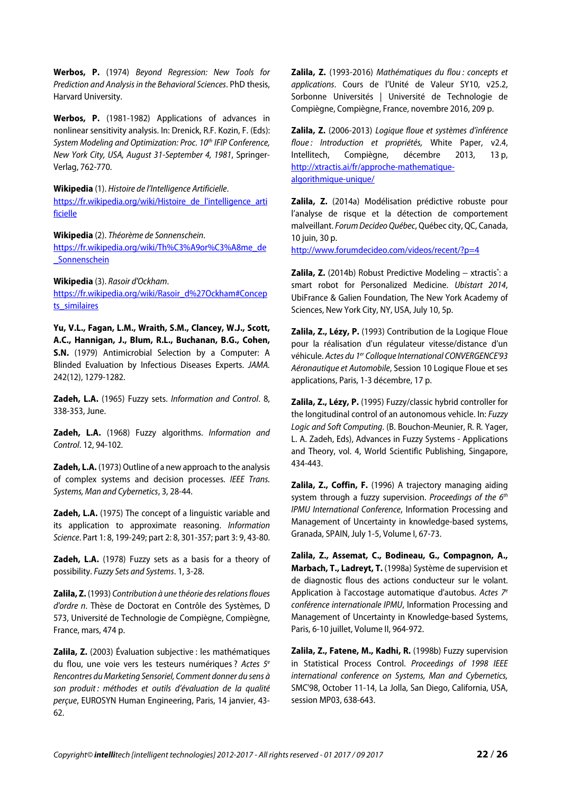**Werbos, P.** (1974) Beyond Regression: New Tools for Prediction and Analysis in the Behavioral Sciences. PhD thesis, Harvard University.

**Werbos, P.** (1981-1982) Applications of advances in nonlinear sensitivity analysis. In: Drenick, R.F. Kozin, F. (Eds): System Modeling and Optimization: Proc. 10<sup>th</sup> IFIP Conference, New York City, USA, August 31-September 4, 1981, Springer-Verlag, 762-770.

**Wikipedia** (1). Histoire de l'Intelligence Artificielle. https://fr.wikipedia.org/wiki/Histoire\_de\_l'intelligence\_arti ficielle

**Wikipedia** (2). Théorème de Sonnenschein. https://fr.wikipedia.org/wiki/Th%C3%A9or%C3%A8me\_de **Sonnenschein** 

**Wikipedia** (3). Rasoir d'Ockham.

https://fr.wikipedia.org/wiki/Rasoir\_d%27Ockham#Concep ts\_similaires

**Yu, V.L., Fagan, L.M., Wraith, S.M., Clancey, W.J., Scott, A.C., Hannigan, J., Blum, R.L., Buchanan, B.G., Cohen, S.N.** (1979) Antimicrobial Selection by a Computer: A Blinded Evaluation by Infectious Diseases Experts. JAMA. 242(12), 1279-1282.

**Zadeh, L.A.** (1965) Fuzzy sets. Information and Control. 8, 338-353, June.

**Zadeh, L.A.** (1968) Fuzzy algorithms. Information and Control. 12, 94-102.

**Zadeh, L.A.** (1973) Outline of a new approach to the analysis of complex systems and decision processes. IEEE Trans. Systems, Man and Cybernetics, 3, 28-44.

**Zadeh, L.A.** (1975) The concept of a linguistic variable and its application to approximate reasoning. Information Science. Part 1: 8, 199-249; part 2: 8, 301-357; part 3: 9, 43-80.

**Zadeh, L.A.** (1978) Fuzzy sets as a basis for a theory of possibility. Fuzzy Sets and Systems. 1, 3-28.

**Zalila, Z.** (1993) Contribution à une théorie des relations floues d'ordre n. Thèse de Doctorat en Contrôle des Systèmes, D 573, Université de Technologie de Compiègne, Compiègne, France, mars, 474 p.

**Zalila, Z.** (2003) Évaluation subjective : les mathématiques du flou, une voie vers les testeurs numériques ? Actes  $5<sup>e</sup>$ Rencontres du Marketing Sensoriel, Comment donner du sens à son produit : méthodes et outils d'évaluation de la qualité perçue, EUROSYN Human Engineering, Paris, 14 janvier, 43- 62.

**Zalila, Z.** (1993-2016) Mathématiques du flou : concepts et applications. Cours de l'Unité de Valeur SY10, v25.2, Sorbonne Universités | Université de Technologie de Compiègne, Compiègne, France, novembre 2016, 209 p.

**Zalila, Z.** (2006-2013) Logique floue et systèmes d'inférence floue: Introduction et propriétés, White Paper, v2.4, Intellitech, Compiègne, décembre 2013, 13 p, http://xtractis.ai/fr/approche-mathematiquealgorithmique-unique/

**Zalila, Z.** (2014a) Modélisation prédictive robuste pour l'analyse de risque et la détection de comportement malveillant. Forum Decideo Québec, Québec city, QC, Canada, 10 juin, 30 p.

http://www.forumdecideo.com/videos/recent/?p=4

**Zalila, Z.** (2014b) Robust Predictive Modeling – xtractis<sup>®</sup>: a smart robot for Personalized Medicine. Ubistart 2014, UbiFrance & Galien Foundation, The New York Academy of Sciences, New York City, NY, USA, July 10, 5p.

**Zalila, Z., Lézy, P.** (1993) Contribution de la Logique Floue pour la réalisation d'un régulateur vitesse/distance d'un véhicule. Actes du 1<sup>er</sup> Colloque International CONVERGENCE'93 Aéronautique et Automobile, Session 10 Logique Floue et ses applications, Paris, 1-3 décembre, 17 p.

**Zalila, Z., Lézy, P.** (1995) Fuzzy/classic hybrid controller for the longitudinal control of an autonomous vehicle. In: Fuzzy Logic and Soft Computing. (B. Bouchon-Meunier, R. R. Yager, L. A. Zadeh, Eds), Advances in Fuzzy Systems - Applications and Theory, vol. 4, World Scientific Publishing, Singapore, 434-443.

**Zalila, Z., Coffin, F.** (1996) A trajectory managing aiding system through a fuzzy supervision. Proceedings of the  $6<sup>th</sup>$ IPMU International Conference, Information Processing and Management of Uncertainty in knowledge-based systems, Granada, SPAIN, July 1-5, Volume I, 67-73.

**Zalila, Z., Assemat, C., Bodineau, G., Compagnon, A., Marbach, T., Ladreyt, T.** (1998a) Système de supervision et de diagnostic flous des actions conducteur sur le volant. Application à l'accostage automatique d'autobus. Actes  $7<sup>e</sup>$ conférence internationale IPMU, Information Processing and Management of Uncertainty in Knowledge-based Systems, Paris, 6-10 juillet, Volume II, 964-972.

**Zalila, Z., Fatene, M., Kadhi, R.** (1998b) Fuzzy supervision in Statistical Process Control. Proceedings of 1998 IEEE international conference on Systems, Man and Cybernetics, SMC'98, October 11-14, La Jolla, San Diego, California, USA, session MP03, 638-643.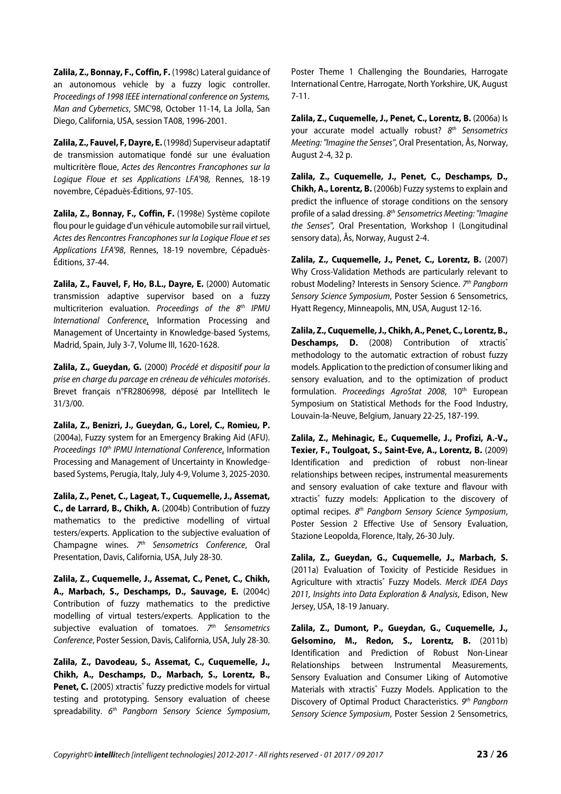**Zalila, Z., Bonnay, F., Coffin, F.** (1998c) Lateral guidance of an autonomous vehicle by a fuzzy logic controller. Proceedings of 1998 IEEE international conference on Systems, Man and Cybernetics, SMC'98, October 11-14, La Jolla, San Diego, California, USA, session TA08, 1996-2001.

**Zalila, Z., Fauvel, F, Dayre, E.** (1998d) Superviseur adaptatif de transmission automatique fondé sur une évaluation multicritère floue, Actes des Rencontres Francophones sur la Logique Floue et ses Applications LFA'98, Rennes, 18-19 novembre, Cépaduès-Éditions, 97-105.

**Zalila, Z., Bonnay, F., Coffin, F.** (1998e) Système copilote flou pour le guidage d'un véhicule automobile sur rail virtuel, Actes des Rencontres Francophones sur la Logique Floue et ses Applications LFA'98, Rennes, 18-19 novembre, Cépaduès-Éditions, 37-44.

**Zalila, Z., Fauvel, F, Ho, B.L., Dayre, E.** (2000) Automatic transmission adaptive supervisor based on a fuzzy multicriterion evaluation. Proceedings of the 8<sup>th</sup> IPMU International Conference, Information Processing and Management of Uncertainty in Knowledge-based Systems, Madrid, Spain, July 3-7, Volume III, 1620-1628.

**Zalila, Z., Gueydan, G.** (2000) Procédé et dispositif pour la prise en charge du parcage en créneau de véhicules motorisés. Brevet français n°FR2806998, déposé par Intellitech le 31/3/00.

**Zalila, Z., Benizri, J., Gueydan, G., Lorel, C., Romieu, P.** (2004a), Fuzzy system for an Emergency Braking Aid (AFU). Proceedings 10<sup>th</sup> IPMU International Conference, Information Processing and Management of Uncertainty in Knowledgebased Systems, Perugia, Italy, July 4-9, Volume 3, 2025-2030.

**Zalila, Z., Penet, C., Lageat, T., Cuquemelle, J., Assemat, C., de Larrard, B., Chikh, A.** (2004b) Contribution of fuzzy mathematics to the predictive modelling of virtual testers/experts. Application to the subjective evaluation of Champagne wines.  $7<sup>th</sup>$  Sensometrics Conference, Oral Presentation, Davis, California, USA, July 28-30.

**Zalila, Z., Cuquemelle, J., Assemat, C., Penet, C., Chikh, A., Marbach, S., Deschamps, D., Sauvage, E.** (2004c) Contribution of fuzzy mathematics to the predictive modelling of virtual testers/experts. Application to the subjective evaluation of tomatoes.  $7<sup>th</sup>$  Sensometrics Conference, Poster Session, Davis, California, USA, July 28-30.

**Zalila, Z., Davodeau, S., Assemat, C., Cuquemelle, J., Chikh, A., Deschamps, D., Marbach, S., Lorentz, B.,** Penet, C. (2005) xtractis<sup>®</sup> fuzzy predictive models for virtual testing and prototyping. Sensory evaluation of cheese spreadability. 6<sup>th</sup> Pangborn Sensory Science Symposium, Poster Theme 1 Challenging the Boundaries, Harrogate International Centre, Harrogate, North Yorkshire, UK, August 7-11.

**Zalila, Z., Cuquemelle, J., Penet, C., Lorentz, B.** (2006a) Is your accurate model actually robust? 8<sup>th</sup> Sensometrics Meeting: "Imagine the Senses", Oral Presentation, Ås, Norway, August 2-4, 32 p.

**Zalila, Z., Cuquemelle, J., Penet, C., Deschamps, D., Chikh, A., Lorentz, B.** (2006b) Fuzzy systems to explain and predict the influence of storage conditions on the sensory profile of a salad dressing. 8<sup>th</sup> Sensometrics Meeting: "Imagine the Senses", Oral Presentation, Workshop I (Longitudinal sensory data), Ås, Norway, August 2-4.

**Zalila, Z., Cuquemelle, J., Penet, C., Lorentz, B.** (2007) Why Cross-Validation Methods are particularly relevant to robust Modeling? Interests in Sensory Science. 7<sup>th</sup> Pangborn Sensory Science Symposium, Poster Session 6 Sensometrics, Hyatt Regency, Minneapolis, MN, USA, August 12-16.

**Zalila, Z., Cuquemelle, J., Chikh, A., Penet, C., Lorentz, B., Deschamps, D.** (2008) Contribution of xtractis<sup>®</sup> methodology to the automatic extraction of robust fuzzy models. Application to the prediction of consumer liking and sensory evaluation, and to the optimization of product formulation. Proceedings AgroStat 2008, 10<sup>th</sup> European Symposium on Statistical Methods for the Food Industry, Louvain-la-Neuve, Belgium, January 22-25, 187-199.

**Zalila, Z., Mehinagic, E., Cuquemelle, J., Profizi, A.-V., Texier, F., Toulgoat, S., Saint-Eve, A., Lorentz, B.** (2009) Identification and prediction of robust non-linear relationships between recipes, instrumental measurements and sensory evaluation of cake texture and flavour with xtractis® fuzzy models: Application to the discovery of optimal recipes. 8<sup>th</sup> Pangborn Sensory Science Symposium, Poster Session 2 Effective Use of Sensory Evaluation, Stazione Leopolda, Florence, Italy, 26-30 July.

**Zalila, Z., Gueydan, G., Cuquemelle, J., Marbach, S.** (2011a) Evaluation of Toxicity of Pesticide Residues in Agriculture with xtractis® Fuzzy Models. Merck IDEA Days 2011, Insights into Data Exploration & Analysis, Edison, New Jersey, USA, 18-19 January.

**Zalila, Z., Dumont, P., Gueydan, G., Cuquemelle, J., Gelsomino, M., Redon, S., Lorentz, B.** (2011b) Identification and Prediction of Robust Non-Linear Relationships between Instrumental Measurements, Sensory Evaluation and Consumer Liking of Automotive Materials with xtractis® Fuzzy Models. Application to the Discovery of Optimal Product Characteristics. 9th Pangborn Sensory Science Symposium, Poster Session 2 Sensometrics,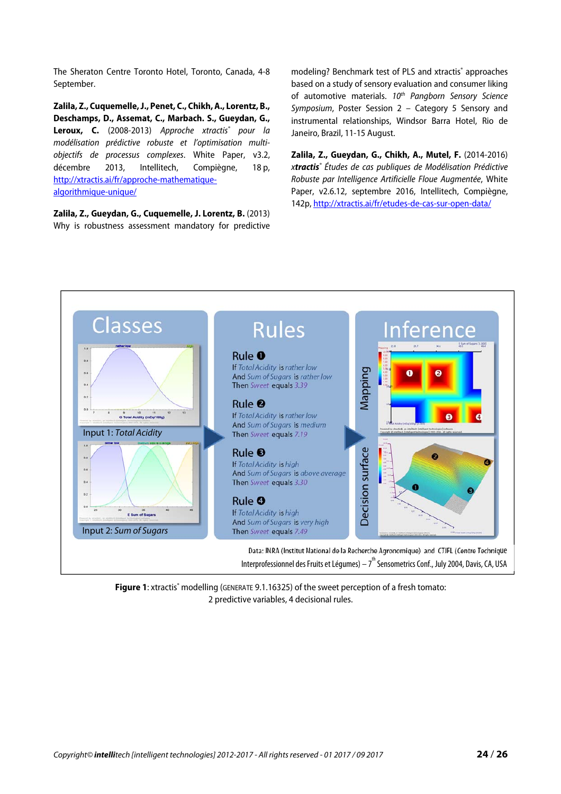The Sheraton Centre Toronto Hotel, Toronto, Canada, 4-8 September.

**Zalila, Z., Cuquemelle, J., Penet, C., Chikh, A., Lorentz, B., Deschamps, D., Assemat, C., Marbach. S., Gueydan, G.,**  Leroux, C. (2008-2013) Approche xtractis<sup>®</sup> pour la modélisation prédictive robuste et l'optimisation multiobjectifs de processus complexes. White Paper, v3.2, décembre 2013, Intellitech, Compiègne, 18 p, http://xtractis.ai/fr/approche-mathematiquealgorithmique-unique/

**Zalila, Z., Gueydan, G., Cuquemelle, J. Lorentz, B.** (2013) Why is robustness assessment mandatory for predictive

modeling? Benchmark test of PLS and xtractis® approaches based on a study of sensory evaluation and consumer liking of automotive materials. 10<sup>th</sup> Pangborn Sensory Science Symposium, Poster Session 2 – Category 5 Sensory and instrumental relationships, Windsor Barra Hotel, Rio de Janeiro, Brazil, 11-15 August.

**Zalila, Z., Gueydan, G., Chikh, A., Mutel, F.** (2014-2016) x*tractis*® Études de cas publiques de Modélisation Prédictive Robuste par Intelligence Artificielle Floue Augmentée, White Paper, v2.6.12, septembre 2016, Intellitech, Compiègne, 142p, http://xtractis.ai/fr/etudes-de-cas-sur-open-data/



Figure 1: xtractis<sup>®</sup> modelling (GENERATE 9.1.16325) of the sweet perception of a fresh tomato: 2 predictive variables, 4 decisional rules.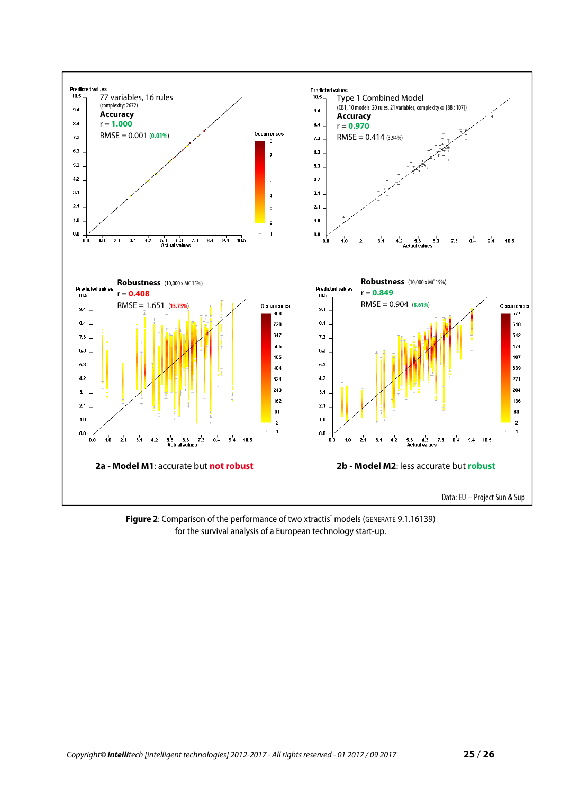

Figure 2: Comparison of the performance of two xtractis<sup>®</sup> models (GENERATE 9.1.16139) for the survival analysis of a European technology start-up.